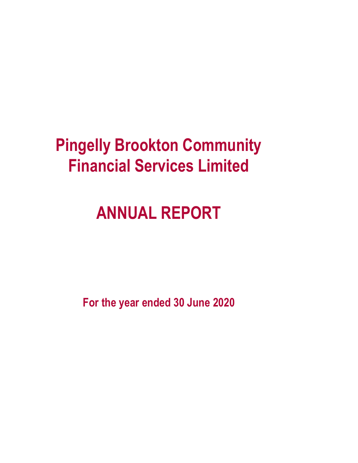# **Pingelly Brookton Community Financial Services Limited**

# **ANNUAL REPORT**

**For the year ended 30 June 2020**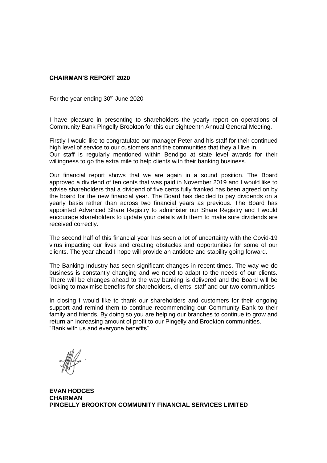# **CHAIRMAN'S REPORT 2020**

For the year ending  $30<sup>th</sup>$  June 2020

I have pleasure in presenting to shareholders the yearly report on operations of Community Bank Pingelly Brookton for this our eighteenth Annual General Meeting.

Firstly I would like to congratulate our manager Peter and his staff for their continued high level of service to our customers and the communities that they all live in. Our staff is regularly mentioned within Bendigo at state level awards for their willingness to go the extra mile to help clients with their banking business.

Our financial report shows that we are again in a sound position. The Board approved a dividend of ten cents that was paid in November 2019 and I would like to advise shareholders that a dividend of five cents fully franked has been agreed on by the board for the new financial year. The Board has decided to pay dividends on a yearly basis rather than across two financial years as previous. The Board has appointed Advanced Share Registry to administer our Share Registry and I would encourage shareholders to update your details with them to make sure dividends are received correctly.

The second half of this financial year has seen a lot of uncertainty with the Covid-19 virus impacting our lives and creating obstacles and opportunities for some of our clients. The year ahead I hope will provide an antidote and stability going forward.

The Banking Industry has seen significant changes in recent times. The way we do business is constantly changing and we need to adapt to the needs of our clients. There will be changes ahead to the way banking is delivered and the Board will be looking to maximise benefits for shareholders, clients, staff and our two communities

In closing I would like to thank our shareholders and customers for their ongoing support and remind them to continue recommending our Community Bank to their family and friends. By doing so you are helping our branches to continue to grow and return an increasing amount of profit to our Pingelly and Brookton communities. "Bank with us and everyone benefits"

**EVAN HODGES CHAIRMAN PINGELLY BROOKTON COMMUNITY FINANCIAL SERVICES LIMITED**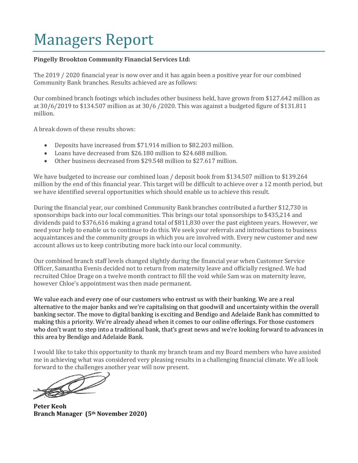# Managers Report

# **Pingelly Brookton Community Financial Services Ltd:**

The 2019 / 2020 financial year is now over and it has again been a positive year for our combined Community Bank branches. Results achieved are as follows:

Our combined branch footings which includes other business held, have grown from \$127.642 million as at 30/6/2019 to \$134.507 million as at 30/6 /2020. This was against a budgeted figure of \$131.811 million.

A break down of these results shows:

- Deposits have increased from \$71.914 million to \$82.203 million.
- Loans have decreased from \$26.180 million to \$24.688 million.
- Other business decreased from \$29.548 million to \$27.617 million.

We have budgeted to increase our combined loan / deposit book from \$134.507 million to \$139.264 million by the end of this financial year. This target will be difficult to achieve over a 12 month period, but we have identified several opportunities which should enable us to achieve this result.

During the financial year, our combined Community Bank branches contributed a further \$12,730 in sponsorships back into our local communities. This brings our total sponsorships to \$435,214 and dividends paid to \$376,616 making a grand total of \$811,830 over the past eighteen years. However, we need your help to enable us to continue to do this. We seek your referrals and introductions to business acquaintances and the community groups in which you are involved with. Every new customer and new account allows us to keep contributing more back into our local community.

Our combined branch staff levels changed slightly during the financial year when Customer Service Officer, Samantha Evenis decided not to return from maternity leave and officially resigned. We had recruited Chloe Drage on a twelve month contract to fill the void while Sam was on maternity leave, however Chloe's appointment was then made permanent.

We value each and every one of our customers who entrust us with their banking. We are a real alternative to the major banks and we're capitalising on that goodwill and uncertainty within the overall banking sector. The move to digital banking is exciting and Bendigo and Adelaide Bank has committed to making this a priority. We're already ahead when it comes to our online offerings. For those customers who don't want to step into a traditional bank, that's great news and we're looking forward to advances in this area by Bendigo and Adelaide Bank.

I would like to take this opportunity to thank my branch team and my Board members who have assisted me in achieving what was considered very pleasing results in a challenging financial climate. We all look

forward to the challenges another year will now present.

**Peter Keoh Branch Manager (5th November 2020)**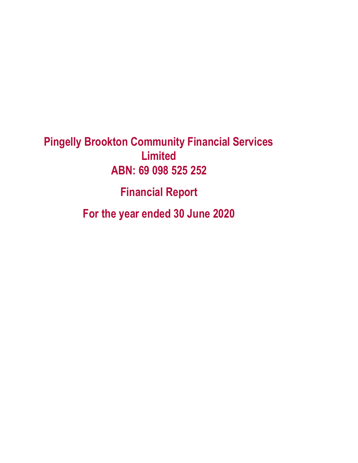**Pingelly Brookton Community Financial Services Limited ABN: 69 098 525 252**

**Financial Report**

**For the year ended 30 June 2020**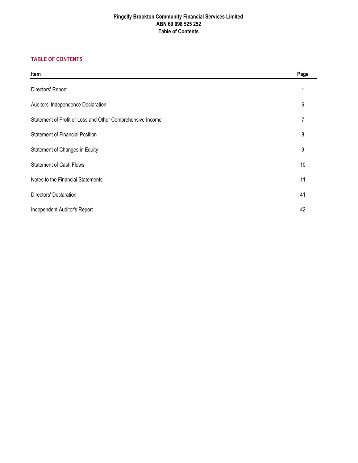# **Pingelly Brookton Community Financial Services Limited ABN 69 098 525 252 Table of Contents**

# **TABLE OF CONTENTS**

| Item                                                       | Page |
|------------------------------------------------------------|------|
| Directors' Report                                          |      |
| Auditors' Independence Declaration                         | 6    |
| Statement of Profit or Loss and Other Comprehensive Income | 7    |
| <b>Statement of Financial Position</b>                     | 8    |
| Statement of Changes in Equity                             | 9    |
| <b>Statement of Cash Flows</b>                             | 10   |
| Notes to the Financial Statements                          | 11   |
| Directors' Declaration                                     | 41   |
| Independent Auditor's Report                               | 42   |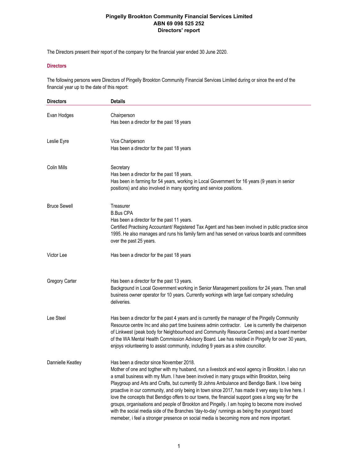The Directors present their report of the company for the financial year ended 30 June 2020.

## **Directors**

The following persons were Directors of Pingelly Brookton Community Financial Services Limited during or since the end of the financial year up to the date of this report:

| <b>Directors</b>      | <b>Details</b>                                                                                                                                                                                                                                                                                                                                                                                                                                                                                                                                                                                                                                                                                                                                                                                                                                          |
|-----------------------|---------------------------------------------------------------------------------------------------------------------------------------------------------------------------------------------------------------------------------------------------------------------------------------------------------------------------------------------------------------------------------------------------------------------------------------------------------------------------------------------------------------------------------------------------------------------------------------------------------------------------------------------------------------------------------------------------------------------------------------------------------------------------------------------------------------------------------------------------------|
| Evan Hodges           | Chairperson<br>Has been a director for the past 18 years                                                                                                                                                                                                                                                                                                                                                                                                                                                                                                                                                                                                                                                                                                                                                                                                |
| Leslie Eyre           | Vice Chariperson<br>Has been a director for the past 18 years                                                                                                                                                                                                                                                                                                                                                                                                                                                                                                                                                                                                                                                                                                                                                                                           |
| Colin Mills           | Secretary<br>Has been a director for the past 18 years.<br>Has been in farming for 54 years, working in Local Government for 16 years (9 years in senior<br>positions) and also involved in many sporting and service positions.                                                                                                                                                                                                                                                                                                                                                                                                                                                                                                                                                                                                                        |
| <b>Bruce Sewell</b>   | Treasurer<br><b>B.Bus CPA</b><br>Has been a director for the past 11 years.<br>Certified Practising Accountant/ Registered Tax Agent and has been involved in public practice since<br>1995. He also manages and runs his family farm and has served on various boards and committees<br>over the past 25 years.                                                                                                                                                                                                                                                                                                                                                                                                                                                                                                                                        |
| Victor Lee            | Has been a director for the past 18 years                                                                                                                                                                                                                                                                                                                                                                                                                                                                                                                                                                                                                                                                                                                                                                                                               |
| <b>Gregory Carter</b> | Has been a director for the past 13 years.<br>Background in Local Government working in Senior Management positions for 24 years. Then small<br>business owner operator for 10 years. Currently workings with large fuel company scheduling<br>deliveries.                                                                                                                                                                                                                                                                                                                                                                                                                                                                                                                                                                                              |
| Lee Steel             | Has been a director for the past 4 years and is currently the manager of the Pingelly Community<br>Resource centre Inc and also part time business admin contractor. Lee is currently the chairperson<br>of Linkwest (peak body for Neighbourhood and Community Resource Centres) and a board member<br>of the WA Mental Health Commission Advisory Board. Lee has resided in Pingelly for over 30 years,<br>enjoys volunteering to assist community, including 9 years as a shire councillor.                                                                                                                                                                                                                                                                                                                                                          |
| Dannielle Keatley     | Has been a director since November 2018.<br>Mother of one and togther with my husband, run a livestock and wool agency in Brookton. I also run<br>a small business with my Mum. I have been involved in many groups within Brookton, being<br>Playgroup and Arts and Crafts, but currently St Johns Ambulance and Bendigo Bank. I love being<br>proactive in our community, and only being in town since 2017, has made it very easy to live here. I<br>love the concepts that Bendigo offers to our towns, the financial support goes a long way for the<br>groups, organisations and people of Brookton and Pingelly. I am hoping to become more involved<br>with the social media side of the Branches 'day-to-day' runnings as being the youngest board<br>memeber, i feel a stronger presence on social media is becoming more and more important. |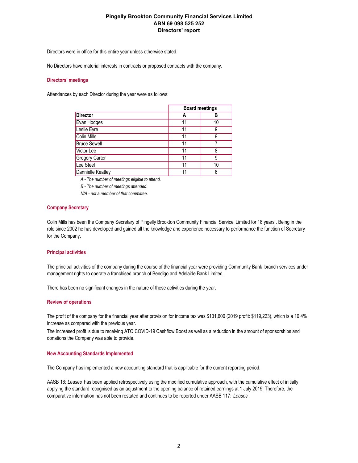Directors were in office for this entire year unless otherwise stated.

No Directors have material interests in contracts or proposed contracts with the company.

#### **Directors' meetings**

Attendances by each Director during the year were as follows:

|                       |    | <b>Board meetings</b> |  |
|-----------------------|----|-----------------------|--|
| <b>Director</b>       | Α  | R                     |  |
| Evan Hodges           | 11 | 10                    |  |
| Leslie Eyre           | 11 | g                     |  |
| <b>Colin Mills</b>    | 11 | 9                     |  |
| <b>Bruce Sewell</b>   | 11 |                       |  |
| Victor Lee            | 11 | 8                     |  |
| <b>Gregory Carter</b> | 11 | g                     |  |
| Lee Steel             | 11 | 10                    |  |
| Dannielle Keatley     | 11 | 6                     |  |

*A - The number of meetings eligible to attend.*

*B - The number of meetings attended.*

*N/A - not a member of that committee.*

#### **Company Secretary**

Colin Mills has been the Company Secretary of Pingelly Brookton Community Financial Service Limited for 18 years . Being in the role since 2002 he has developed and gained all the knowledge and experience necessary to performance the function of Secretary for the Company.

#### **Principal activities**

The principal activities of the company during the course of the financial year were providing Community Bank branch services under management rights to operate a franchised branch of Bendigo and Adelaide Bank Limited.

There has been no significant changes in the nature of these activities during the year.

#### **Review of operations**

The profit of the company for the financial year after provision for income tax was \$131,600 (2019 profit: \$119,223), which is a 10.4% increase as compared with the previous year.

The increased profit is due to receiving ATO COVID-19 Cashflow Boost as well as a reduction in the amount of sponsorships and donations the Company was able to provide.

#### **New Accounting Standards Implemented**

The Company has implemented a new accounting standard that is applicable for the current reporting period.

AASB 16: *Leases* has been applied retrospectively using the modified cumulative approach, with the cumulative effect of initially applying the standard recognised as an adjustment to the opening balance of retained earnings at 1 July 2019. Therefore, the comparative information has not been restated and continues to be reported under AASB 117: *Leases* .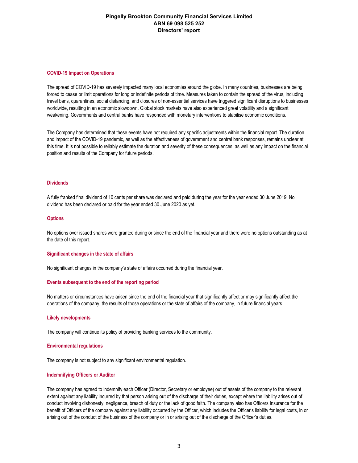#### **COVID-19 Impact on Operations**

The spread of COVID-19 has severely impacted many local economies around the globe. In many countries, businesses are being forced to cease or limit operations for long or indefinite periods of time. Measures taken to contain the spread of the virus, including travel bans, quarantines, social distancing, and closures of non-essential services have triggered significant disruptions to businesses worldwide, resulting in an economic slowdown. Global stock markets have also experienced great volatility and a significant weakening. Governments and central banks have responded with monetary interventions to stabilise economic conditions.

The Company has determined that these events have not required any specific adjustments within the financial report. The duration and impact of the COVID-19 pandemic, as well as the effectiveness of government and central bank responses, remains unclear at this time. It is not possible to reliably estimate the duration and severity of these consequences, as well as any impact on the financial position and results of the Company for future periods.

### **Dividends**

A fully franked final dividend of 10 cents per share was declared and paid during the year for the year ended 30 June 2019. No dividend has been declared or paid for the year ended 30 June 2020 as yet.

#### **Options**

No options over issued shares were granted during or since the end of the financial year and there were no options outstanding as at the date of this report.

#### **Significant changes in the state of affairs**

No significant changes in the company's state of affairs occurred during the financial year.

#### **Events subsequent to the end of the reporting period**

No matters or circumstances have arisen since the end of the financial year that significantly affect or may significantly affect the operations of the company, the results of those operations or the state of affairs of the company, in future financial years.

#### **Likely developments**

The company will continue its policy of providing banking services to the community.

### **Environmental regulations**

The company is not subject to any significant environmental regulation.

### **Indemnifying Officers or Auditor**

The company has agreed to indemnify each Officer (Director, Secretary or employee) out of assets of the company to the relevant extent against any liability incurred by that person arising out of the discharge of their duties, except where the liability arises out of conduct involving dishonesty, negligence, breach of duty or the lack of good faith. The company also has Officers Insurance for the benefit of Officers of the company against any liability occurred by the Officer, which includes the Officer's liability for legal costs, in or arising out of the conduct of the business of the company or in or arising out of the discharge of the Officer's duties.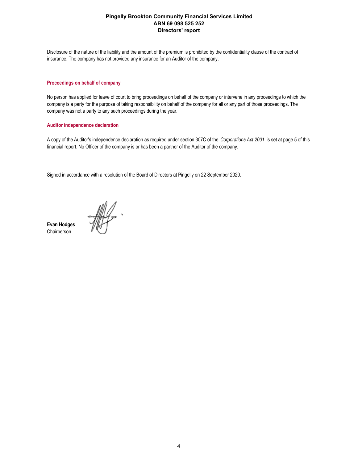Disclosure of the nature of the liability and the amount of the premium is prohibited by the confidentiality clause of the contract of insurance. The company has not provided any insurance for an Auditor of the company.

#### **Proceedings on behalf of company**

No person has applied for leave of court to bring proceedings on behalf of the company or intervene in any proceedings to which the company is a party for the purpose of taking responsibility on behalf of the company for all or any part of those proceedings. The company was not a party to any such proceedings during the year.

### **Auditor independence declaration**

A copy of the Auditor's independence declaration as required under section 307C of the *Corporations Act 2001* is set at page 5 of this financial report. No Officer of the company is or has been a partner of the Auditor of the company.

Signed in accordance with a resolution of the Board of Directors at Pingelly on 22 September 2020.

HILL-

**Evan Hodges** Chairperson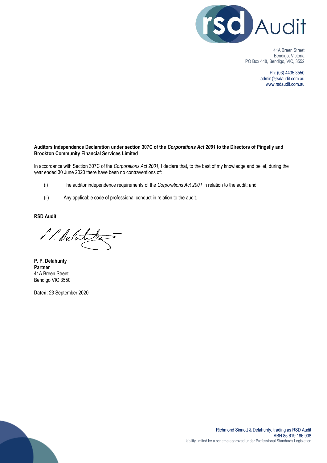

41A Breen Street Bendigo, Victoria PO Box 448, Bendigo, VIC, 3552

> Ph: (03) 4435 3550 admin@rsdaudit.com.au www.rsdaudit.com.au

# **Auditors Independence Declaration under section 307C of the** *Corporations Act 2001* **to the Directors of Pingelly and Brookton Community Financial Services Limited**

In accordance with Section 307C of the *Corporations Act 2001,* I declare that, to the best of my knowledge and belief, during the year ended 30 June 2020 there have been no contraventions of:

- (i) The auditor independence requirements of the *Corporations Act 2001* in relation to the audit; and
- (ii) Any applicable code of professional conduct in relation to the audit.

**RSD Audit**

1. 1. Debota

**P. P. Delahunty Partner** 41A Breen Street Bendigo VIC 3550

**Dated**: 23 September 2020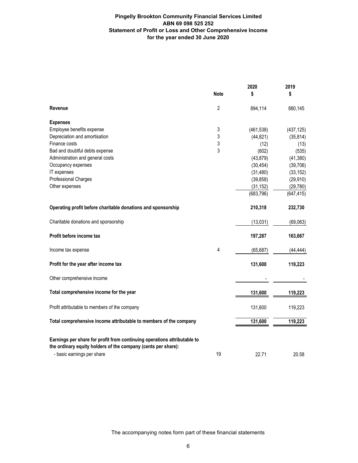# **Pingelly Brookton Community Financial Services Limited ABN 69 098 525 252 Statement of Profit or Loss and Other Comprehensive Income for the year ended 30 June 2020**

|                                                                                                                                                                         | <b>Note</b>    | 2020<br>\$ | 2019<br>\$ |
|-------------------------------------------------------------------------------------------------------------------------------------------------------------------------|----------------|------------|------------|
|                                                                                                                                                                         |                |            |            |
| Revenue                                                                                                                                                                 | $\overline{2}$ | 894,114    | 880,145    |
| <b>Expenses</b>                                                                                                                                                         |                |            |            |
| Employee benefits expense                                                                                                                                               | 3              | (461, 538) | (437, 125) |
| Depreciation and amortisation                                                                                                                                           | 3              | (44, 821)  | (35, 814)  |
| Finance costs                                                                                                                                                           | 3              | (12)       | (13)       |
| Bad and doubtful debts expense                                                                                                                                          | 3              | (602)      | (535)      |
| Administration and general costs                                                                                                                                        |                | (43, 879)  | (41, 380)  |
| Occupancy expenses                                                                                                                                                      |                | (30, 454)  | (39, 706)  |
| IT expenses                                                                                                                                                             |                | (31, 480)  | (33, 152)  |
| Professional Charges                                                                                                                                                    |                | (39, 858)  | (29, 910)  |
| Other expenses                                                                                                                                                          |                | (31, 152)  | (29, 780)  |
|                                                                                                                                                                         |                | (683, 796) | (647, 415) |
| Operating profit before charitable donations and sponsorship                                                                                                            |                | 210,318    | 232,730    |
| Charitable donations and sponsorship                                                                                                                                    |                | (13,031)   | (69,063)   |
| Profit before income tax                                                                                                                                                |                | 197,287    | 163,667    |
| Income tax expense                                                                                                                                                      | 4              | (65, 687)  | (44, 444)  |
| Profit for the year after income tax                                                                                                                                    |                | 131,600    | 119,223    |
| Other comprehensive income                                                                                                                                              |                |            |            |
| Total comprehensive income for the year                                                                                                                                 |                | 131,600    | 119,223    |
| Profit attributable to members of the company                                                                                                                           |                | 131,600    | 119,223    |
| Total comprehensive income attributable to members of the company                                                                                                       |                | 131,600    | 119,223    |
| Earnings per share for profit from continuing operations attributable to<br>the ordinary equity holders of the company (cents per share):<br>- basic earnings per share | 19             | 22.71      | 20.58      |
|                                                                                                                                                                         |                |            |            |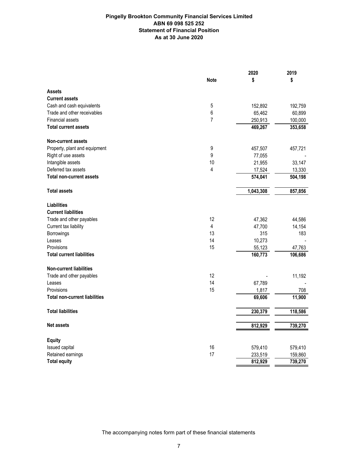# **Pingelly Brookton Community Financial Services Limited ABN 69 098 525 252 Statement of Financial Position As at 30 June 2020**

|                                      |                | 2020      | 2019    |
|--------------------------------------|----------------|-----------|---------|
|                                      | <b>Note</b>    | \$        | \$      |
| <b>Assets</b>                        |                |           |         |
| <b>Current assets</b>                |                |           |         |
| Cash and cash equivalents            | 5              | 152,892   | 192,759 |
| Trade and other receivables          | 6              | 65,462    | 60,899  |
| <b>Financial assets</b>              | $\overline{7}$ | 250,913   | 100,000 |
| <b>Total current assets</b>          |                | 469,267   | 353,658 |
| <b>Non-current assets</b>            |                |           |         |
| Property, plant and equipment        | 9              | 457,507   | 457,721 |
| Right of use assets                  | 9              | 77,055    |         |
| Intangible assets                    | 10             | 21,955    | 33,147  |
| Deferred tax assets                  | 4              | 17,524    | 13,330  |
| <b>Total non-current assets</b>      |                | 574,041   | 504,198 |
| <b>Total assets</b>                  |                | 1,043,308 | 857,856 |
| <b>Liabilities</b>                   |                |           |         |
| <b>Current liabilities</b>           |                |           |         |
| Trade and other payables             | 12             | 47,362    | 44,586  |
| Current tax liability                | 4              | 47,700    | 14,154  |
| Borrowings                           | 13             | 315       | 183     |
| Leases                               | 14             | 10,273    |         |
| Provisions                           | 15             | 55,123    | 47,763  |
| <b>Total current liabilities</b>     |                | 160,773   | 106,686 |
| <b>Non-current liabilities</b>       |                |           |         |
| Trade and other payables             | 12             |           | 11,192  |
| Leases                               | 14             | 67,789    |         |
| Provisions                           | 15             | 1,817     | 708     |
| <b>Total non-current liabilities</b> |                | 69,606    | 11,900  |
| <b>Total liabilities</b>             |                | 230,379   | 118,586 |
| <b>Net assets</b>                    |                | 812,929   | 739,270 |
| <b>Equity</b>                        |                |           |         |
| Issued capital                       | 16             | 579,410   | 579,410 |
| Retained earnings                    | 17             | 233,519   | 159,860 |
| <b>Total equity</b>                  |                | 812,929   | 739,270 |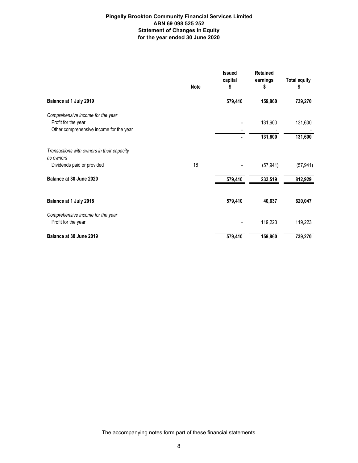# **Pingelly Brookton Community Financial Services Limited ABN 69 098 525 252 Statement of Changes in Equity for the year ended 30 June 2020**

|                                                                                                     | <b>Note</b> | <b>Issued</b><br>capital<br>5 | <b>Retained</b><br>earnings<br>\$ | <b>Total equity</b><br>\$ |
|-----------------------------------------------------------------------------------------------------|-------------|-------------------------------|-----------------------------------|---------------------------|
| Balance at 1 July 2019                                                                              |             | 579,410                       | 159,860                           | 739,270                   |
| Comprehensive income for the year<br>Profit for the year<br>Other comprehensive income for the year |             |                               | 131,600<br>131,600                | 131,600<br>131,600        |
| Transactions with owners in their capacity<br>as owners                                             |             |                               |                                   |                           |
| Dividends paid or provided                                                                          | 18          |                               | (57, 941)                         | (57, 941)                 |
| Balance at 30 June 2020                                                                             |             | 579,410                       | 233,519                           | 812,929                   |
| Balance at 1 July 2018                                                                              |             | 579,410                       | 40,637                            | 620,047                   |
| Comprehensive income for the year<br>Profit for the year                                            |             |                               | 119,223                           | 119,223                   |
| Balance at 30 June 2019                                                                             |             | 579,410                       | 159,860                           | 739,270                   |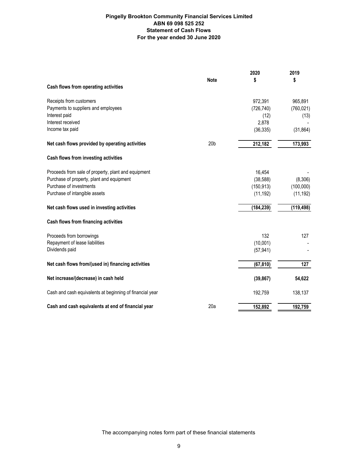# **Pingelly Brookton Community Financial Services Limited ABN 69 098 525 252 Statement of Cash Flows For the year ended 30 June 2020**

|                                                          | <b>Note</b>     | 2020<br>S  | 2019<br>\$ |
|----------------------------------------------------------|-----------------|------------|------------|
| Cash flows from operating activities                     |                 |            |            |
| Receipts from customers                                  |                 | 972,391    | 965,891    |
| Payments to suppliers and employees                      |                 | (726, 740) | (760, 021) |
| Interest paid                                            |                 | (12)       | (13)       |
| Interest received                                        |                 | 2,878      |            |
| Income tax paid                                          |                 | (36, 335)  | (31, 864)  |
| Net cash flows provided by operating activities          | 20 <sub>b</sub> | 212,182    | 173,993    |
| Cash flows from investing activities                     |                 |            |            |
| Proceeds from sale of property, plant and equipment      |                 | 16,454     |            |
| Purchase of property, plant and equipment                |                 | (38, 588)  | (8,306)    |
| Purchase of investments                                  |                 | (150, 913) | (100,000)  |
| Purchase of intangible assets                            |                 | (11, 192)  | (11, 192)  |
| Net cash flows used in investing activities              |                 | (184, 239) | (119, 498) |
| Cash flows from financing activities                     |                 |            |            |
| Proceeds from borrowings                                 |                 | 132        | 127        |
| Repayment of lease liabilities                           |                 | (10,001)   |            |
| Dividends paid                                           |                 | (57, 941)  |            |
| Net cash flows from/(used in) financing activities       |                 | (67, 810)  | 127        |
| Net increase/(decrease) in cash held                     |                 | (39, 867)  | 54,622     |
| Cash and cash equivalents at beginning of financial year |                 | 192,759    | 138,137    |
| Cash and cash equivalents at end of financial year       | 20a             | 152,892    | 192,759    |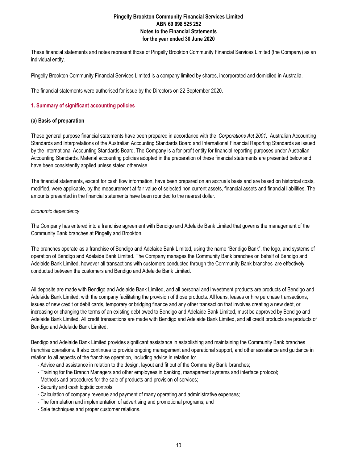These financial statements and notes represent those of Pingelly Brookton Community Financial Services Limited (the Company) as an individual entity.

Pingelly Brookton Community Financial Services Limited is a company limited by shares, incorporated and domiciled in Australia.

The financial statements were authorised for issue by the Directors on 22 September 2020.

## **1. Summary of significant accounting policies**

## **(a) Basis of preparation**

These general purpose financial statements have been prepared in accordance with the *Corporations Act 2001,* Australian Accounting Standards and Interpretations of the Australian Accounting Standards Board and International Financial Reporting Standards as issued by the International Accounting Standards Board. The Company is a for-profit entity for financial reporting purposes under Australian Accounting Standards. Material accounting policies adopted in the preparation of these financial statements are presented below and have been consistently applied unless stated otherwise.

The financial statements, except for cash flow information, have been prepared on an accruals basis and are based on historical costs, modified, were applicable, by the measurement at fair value of selected non current assets, financial assets and financial liabilities. The amounts presented in the financial statements have been rounded to the nearest dollar.

# *Economic dependency*

The Company has entered into a franchise agreement with Bendigo and Adelaide Bank Limited that governs the management of the Community Bank branches at Pingelly and Brookton.

The branches operate as a franchise of Bendigo and Adelaide Bank Limited, using the name "Bendigo Bank", the logo, and systems of operation of Bendigo and Adelaide Bank Limited. The Company manages the Community Bank branches on behalf of Bendigo and Adelaide Bank Limited, however all transactions with customers conducted through the Community Bank branches are effectively conducted between the customers and Bendigo and Adelaide Bank Limited.

All deposits are made with Bendigo and Adelaide Bank Limited, and all personal and investment products are products of Bendigo and Adelaide Bank Limited, with the company facilitating the provision of those products. All loans, leases or hire purchase transactions, issues of new credit or debit cards, temporary or bridging finance and any other transaction that involves creating a new debt, or increasing or changing the terms of an existing debt owed to Bendigo and Adelaide Bank Limited, must be approved by Bendigo and Adelaide Bank Limited. All credit transactions are made with Bendigo and Adelaide Bank Limited, and all credit products are products of Bendigo and Adelaide Bank Limited.

Bendigo and Adelaide Bank Limited provides significant assistance in establishing and maintaining the Community Bank branches franchise operations. It also continues to provide ongoing management and operational support, and other assistance and guidance in relation to all aspects of the franchise operation, including advice in relation to:

- Advice and assistance in relation to the design, layout and fit out of the Community Bank branches;
- Training for the Branch Managers and other employees in banking, management systems and interface protocol;
- Methods and procedures for the sale of products and provision of services;
- Security and cash logistic controls;
- Calculation of company revenue and payment of many operating and administrative expenses;
- The formulation and implementation of advertising and promotional programs; and
- Sale techniques and proper customer relations.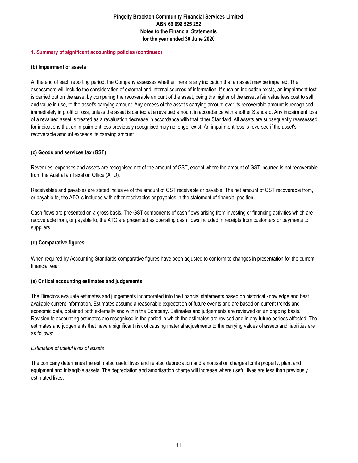# **1. Summary of significant accounting policies (continued)**

# **(b) Impairment of assets**

At the end of each reporting period, the Company assesses whether there is any indication that an asset may be impaired. The assessment will include the consideration of external and internal sources of information. If such an indication exists, an impairment test is carried out on the asset by comparing the recoverable amount of the asset, being the higher of the asset's fair value less cost to sell and value in use, to the asset's carrying amount. Any excess of the asset's carrying amount over its recoverable amount is recognised immediately in profit or loss, unless the asset is carried at a revalued amount in accordance with another Standard. Any impairment loss of a revalued asset is treated as a revaluation decrease in accordance with that other Standard. All assets are subsequently reassessed for indications that an impairment loss previously recognised may no longer exist. An impairment loss is reversed if the asset's recoverable amount exceeds its carrying amount.

# **(c) Goods and services tax (GST)**

Revenues, expenses and assets are recognised net of the amount of GST, except where the amount of GST incurred is not recoverable from the Australian Taxation Office (ATO).

Receivables and payables are stated inclusive of the amount of GST receivable or payable. The net amount of GST recoverable from, or payable to, the ATO is included with other receivables or payables in the statement of financial position.

Cash flows are presented on a gross basis. The GST components of cash flows arising from investing or financing activities which are recoverable from, or payable to, the ATO are presented as operating cash flows included in receipts from customers or payments to suppliers.

# **(d) Comparative figures**

When required by Accounting Standards comparative figures have been adjusted to conform to changes in presentation for the current financial year.

# **(e) Critical accounting estimates and judgements**

The Directors evaluate estimates and judgements incorporated into the financial statements based on historical knowledge and best available current information. Estimates assume a reasonable expectation of future events and are based on current trends and economic data, obtained both externally and within the Company. Estimates and judgements are reviewed on an ongoing basis. Revision to accounting estimates are recognised in the period in which the estimates are revised and in any future periods affected. The estimates and judgements that have a significant risk of causing material adjustments to the carrying values of assets and liabilities are as follows:

# *Estimation of useful lives of assets*

The company determines the estimated useful lives and related depreciation and amortisation charges for its property, plant and equipment and intangible assets. The depreciation and amortisation charge will increase where useful lives are less than previously estimated lives.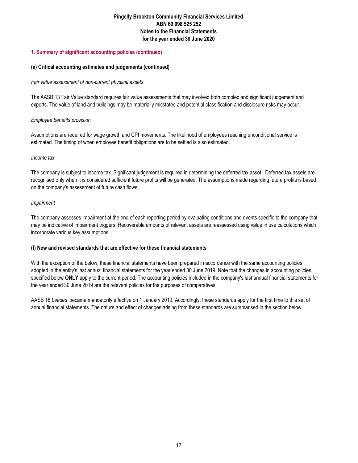# **1. Summary of significant accounting policies (continued)**

# **(e) Critical accounting estimates and judgements (continued)**

# *Fair value assessment of non-current physical assets*

The AASB 13 Fair Value standard requires fair value assessments that may involved both complex and significant judgement and experts. The value of land and buildings may be materially misstated and potential classification and disclosure risks may occur.

# *Employee benefits provision*

Assumptions are required for wage growth and CPI movements. The likelihood of employees reaching unconditional service is estimated. The timing of when employee benefit obligations are to be settled is also estimated.

# *Income tax*

The company is subject to income tax. Significant judgement is required in determining the deferred tax asset. Deferred tax assets are recognised only when it is considered sufficient future profits will be generated. The assumptions made regarding future profits is based on the company's assessment of future cash flows.

# *Impairment*

The company assesses impairment at the end of each reporting period by evaluating conditions and events specific to the company that may be indicative of impairment triggers. Recoverable amounts of relevant assets are reassessed using value in use calculations which incorporate various key assumptions.

# **(f) New and revised standards that are effective for these financial statements**

With the exception of the below, these financial statements have been prepared in accordance with the same accounting policies adopted in the entity's last annual financial statements for the year ended 30 June 2019. Note that the changes in accounting policies specified below **ONLY** apply to the current period. The accounting policies included in the company's last annual financial statements for the year ended 30 June 2019 are the relevant policies for the purposes of comparatives.

AASB 16 *Leases* became mandatorily effective on 1 January 2019. Accordingly, these standards apply for the first time to this set of annual financial statements. The nature and effect of changes arising from these standards are summarised in the section below.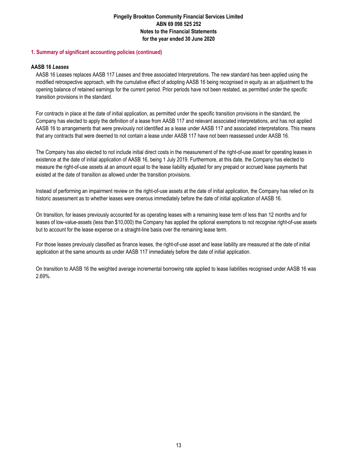# **1. Summary of significant accounting policies (continued)**

# **AASB 16** *Leases*

AASB 16 Leases replaces AASB 117 Leases and three associated Interpretations. The new standard has been applied using the modified retrospective approach, with the cumulative effect of adopting AASB 16 being recognised in equity as an adjustment to the opening balance of retained earnings for the current period. Prior periods have not been restated, as permitted under the specific transition provisions in the standard.

For contracts in place at the date of initial application, as permitted under the specific transition provisions in the standard, the Company has elected to apply the definition of a lease from AASB 117 and relevant associated interpretations, and has not applied AASB 16 to arrangements that were previously not identified as a lease under AASB 117 and associated interpretations. This means that any contracts that were deemed to not contain a lease under AASB 117 have not been reassessed under AASB 16.

The Company has also elected to not include initial direct costs in the measurement of the right-of-use asset for operating leases in existence at the date of initial application of AASB 16, being 1 July 2019. Furthermore, at this date, the Company has elected to measure the right-of-use assets at an amount equal to the lease liability adjusted for any prepaid or accrued lease payments that existed at the date of transition as allowed under the transition provisions.

Instead of performing an impairment review on the right-of-use assets at the date of initial application, the Company has relied on its historic assessment as to whether leases were onerous immediately before the date of initial application of AASB 16.

On transition, for leases previously accounted for as operating leases with a remaining lease term of less than 12 months and for leases of low-value-assets (less than \$10,000) the Company has applied the optional exemptions to not recognise right-of-use assets but to account for the lease expense on a straight-line basis over the remaining lease term.

For those leases previously classified as finance leases, the right-of-use asset and lease liability are measured at the date of initial application at the same amounts as under AASB 117 immediately before the date of initial application.

On transition to AASB 16 the weighted average incremental borrowing rate applied to lease liabilities recognised under AASB 16 was 2.69%.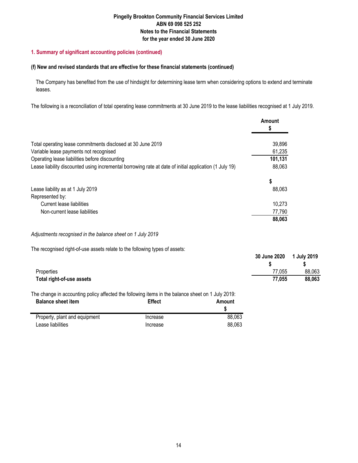# **1. Summary of significant accounting policies (continued)**

# **(f) New and revised standards that are effective for these financial statements (continued)**

The Company has benefited from the use of hindsight for determining lease term when considering options to extend and terminate leases.

The following is a reconciliation of total operating lease commitments at 30 June 2019 to the lease liabilities recognised at 1 July 2019.

|                                                                                                        | Amount  |
|--------------------------------------------------------------------------------------------------------|---------|
| Total operating lease commitments disclosed at 30 June 2019                                            | 39,896  |
| Variable lease payments not recognised                                                                 | 61,235  |
| Operating lease liabilities before discounting                                                         | 101,131 |
| Lease liability discounted using incremental borrowing rate at date of initial application (1 July 19) | 88,063  |
|                                                                                                        | \$      |
| Lease liability as at 1 July 2019                                                                      | 88,063  |
| Represented by:                                                                                        |         |
| Current lease liabilities                                                                              | 10,273  |
| Non-current lease liabilities                                                                          | 77,790  |
|                                                                                                        | 88,063  |

# *Adjustments recognised in the balance sheet on 1 July 2019*

The recognised right-of-use assets relate to the following types of assets:

|                           | 30 June 2020 | 1 July 2019 |
|---------------------------|--------------|-------------|
|                           |              |             |
| Properties                | 77,055       | 88,063      |
| Total right-of-use assets | 77.055       | 88,063      |
|                           |              |             |

The change in accounting policy affected the following items in the balance sheet on 1 July 2019:

| <b>Balance sheet item</b>     | <b>Effect</b> | Amount |
|-------------------------------|---------------|--------|
| Property, plant and equipment | Increase      | 88.063 |
| Lease liabilities             | Increase      | 88.063 |
|                               |               |        |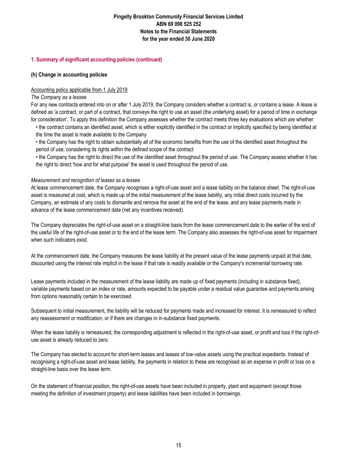# **1. Summary of significant accounting policies (continued)**

# **(h) Change in accounting policies**

# Accounting policy applicable from 1 July 2019

# *The Company as a lessee*

For any new contracts entered into on or after 1 July 2019, the Company considers whether a contract is, or contains a lease. A lease is defined as 'a contract, or part of a contract, that conveys the right to use an asset (the underlying asset) for a period of time in exchange for consideration'. To apply this definition the Company assesses whether the contract meets three key evaluations which are whether:

• the contract contains an identified asset, which is either explicitly identified in the contract or implicitly specified by being identified at the time the asset is made available to the Company

• the Company has the right to obtain substantially all of the economic benefits from the use of the identified asset throughout the period of use, considering its rights within the defined scope of the contract

• the Company has the right to direct the use of the identified asset throughout the period of use. The Company assess whether it has the right to direct 'how and for what purpose' the asset is used throughout the period of use.

# *Measurement and recognition of leases as a lessee*

At lease commencement date, the Company recognises a right-of-use asset and a lease liability on the balance sheet. The right-of-use asset is measured at cost, which is made up of the initial measurement of the lease liability, any initial direct costs incurred by the Company, an estimate of any costs to dismantle and remove the asset at the end of the lease, and any lease payments made in advance of the lease commencement date (net any incentives received).

The Company depreciates the right-of-use asset on a straight-line basis from the lease commencement date to the earlier of the end of the useful life of the right-of-use asset or to the end of the lease term. The Company also assesses the right-of-use asset for impairment when such indicators exist.

At the commencement date, the Company measures the lease liability at the present value of the lease payments unpaid at that date, discounted using the interest rate implicit in the lease if that rate is readily available or the Company's incremental borrowing rate.

Lease payments included in the measurement of the lease liability are made up of fixed payments (including in substance fixed), variable payments based on an index or rate, amounts expected to be payable under a residual value guarantee and payments arising from options reasonably certain to be exercised.

Subsequent to initial measurement, the liability will be reduced for payments made and increased for interest. It is remeasured to reflect any reassessment or modification, or if there are changes in in-substance fixed payments.

When the lease liability is remeasured, the corresponding adjustment is reflected in the right-of-use asset, or profit and loss if the right-ofuse asset is already reduced to zero.

The Company has elected to account for short-term leases and leases of low-value assets using the practical expedients. Instead of recognising a right-of-use asset and lease liability, the payments in relation to these are recognised as an expense in profit or loss on a straight-line basis over the lease term.

On the statement of financial position, the right-of-use assets have been included in property, plant and equipment (except those meeting the definition of investment property) and lease liabilities have been included in borrowings.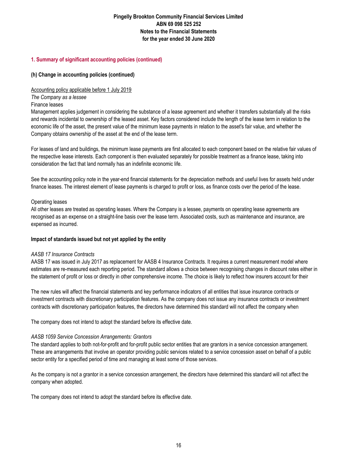# **1. Summary of significant accounting policies (continued)**

# **(h) Change in accounting policies (continued)**

# Accounting policy applicable before 1 July 2019

*The Company as a lessee*

# Finance leases

Management applies judgement in considering the substance of a lease agreement and whether it transfers substantially all the risks and rewards incidental to ownership of the leased asset. Key factors considered include the length of the lease term in relation to the economic life of the asset, the present value of the minimum lease payments in relation to the asset's fair value, and whether the Company obtains ownership of the asset at the end of the lease term.

For leases of land and buildings, the minimum lease payments are first allocated to each component based on the relative fair values of the respective lease interests. Each component is then evaluated separately for possible treatment as a finance lease, taking into consideration the fact that land normally has an indefinite economic life.

See the accounting policy note in the year-end financial statements for the depreciation methods and useful lives for assets held under finance leases. The interest element of lease payments is charged to profit or loss, as finance costs over the period of the lease.

# Operating leases

All other leases are treated as operating leases. Where the Company is a lessee, payments on operating lease agreements are recognised as an expense on a straight-line basis over the lease term. Associated costs, such as maintenance and insurance, are expensed as incurred.

# **Impact of standards issued but not yet applied by the entity**

# *AASB 17 Insurance Contracts*

AASB 17 was issued in July 2017 as replacement for AASB 4 Insurance Contracts. It requires a current measurement model where estimates are re-measured each reporting period. The standard allows a choice between recognising changes in discount rates either in the statement of profit or loss or directly in other comprehensive income. The choice is likely to reflect how insurers account for their

The new rules will affect the financial statements and key performance indicators of all entities that issue insurance contracts or investment contracts with discretionary participation features. As the company does not issue any insurance contracts or investment contracts with discretionary participation features, the directors have determined this standard will not affect the company when

The company does not intend to adopt the standard before its effective date.

# *AASB 1059 Service Concession Arrangements: Grantors*

The standard applies to both not-for-profit and for-profit public sector entities that are grantors in a service concession arrangement. These are arrangements that involve an operator providing public services related to a service concession asset on behalf of a public sector entity for a specified period of time and managing at least some of those services.

As the company is not a grantor in a service concession arrangement, the directors have determined this standard will not affect the company when adopted.

The company does not intend to adopt the standard before its effective date.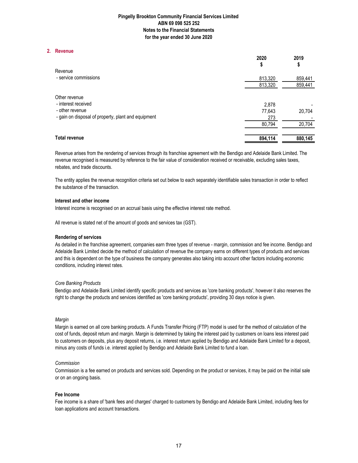#### **2. Revenue**

|                                                     | 2020<br>φ | 2019<br>\$ |
|-----------------------------------------------------|-----------|------------|
| Revenue                                             |           |            |
| - service commissions                               | 813,320   | 859,441    |
|                                                     | 813,320   | 859,441    |
| Other revenue                                       |           |            |
| - interest received                                 | 2.878     |            |
| - other revenue                                     | 77,643    | 20,704     |
| - gain on disposal of property, plant and equipment | 273       |            |
|                                                     | 80,794    | 20,704     |
| Total revenue                                       | 894,114   | 880,145    |

Revenue arises from the rendering of services through its franchise agreement with the Bendigo and Adelaide Bank Limited. The revenue recognised is measured by reference to the fair value of consideration received or receivable, excluding sales taxes, rebates, and trade discounts.

The entity applies the revenue recognition criteria set out below to each separately identifiable sales transaction in order to reflect the substance of the transaction.

#### **Interest and other income**

Interest income is recognised on an accrual basis using the effective interest rate method.

All revenue is stated net of the amount of goods and services tax (GST).

#### **Rendering of services**

As detailed in the franchise agreement, companies earn three types of revenue - margin, commission and fee income. Bendigo and Adelaide Bank Limited decide the method of calculation of revenue the company earns on different types of products and services and this is dependent on the type of business the company generates also taking into account other factors including economic conditions, including interest rates.

#### *Core Banking Products*

Bendigo and Adelaide Bank Limited identify specific products and services as 'core banking products', however it also reserves the right to change the products and services identified as 'core banking products', providing 30 days notice is given.

#### *Margin*

Margin is earned on all core banking products. A Funds Transfer Pricing (FTP) model is used for the method of calculation of the cost of funds, deposit return and margin. Margin is determined by taking the interest paid by customers on loans less interest paid to customers on deposits, plus any deposit returns, i.e. interest return applied by Bendigo and Adelaide Bank Limited for a deposit, minus any costs of funds i.e. interest applied by Bendigo and Adelaide Bank Limited to fund a loan.

#### *Commission*

Commission is a fee earned on products and services sold. Depending on the product or services, it may be paid on the initial sale or on an ongoing basis.

#### **Fee Income**

Fee income is a share of 'bank fees and charges' charged to customers by Bendigo and Adelaide Bank Limited, including fees for loan applications and account transactions.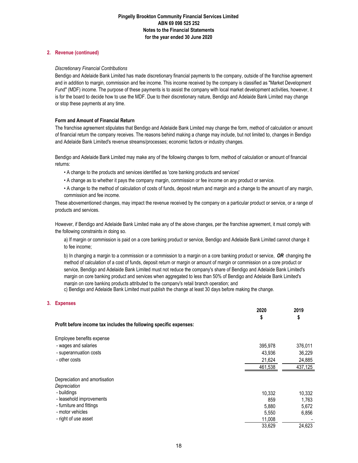## **2. Revenue (continued)**

## *Discretionary Financial Contributions*

Bendigo and Adelaide Bank Limited has made discretionary financial payments to the company, outside of the franchise agreement and in addition to margin, commission and fee income. This income received by the company is classified as "Market Development Fund" (MDF) income. The purpose of these payments is to assist the company with local market development activities, however, it is for the board to decide how to use the MDF. Due to their discretionary nature, Bendigo and Adelaide Bank Limited may change or stop these payments at any time.

## **Form and Amount of Financial Return**

The franchise agreement stipulates that Bendigo and Adelaide Bank Limited may change the form, method of calculation or amount of financial return the company receives. The reasons behind making a change may include, but not limited to, changes in Bendigo and Adelaide Bank Limited's revenue streams/processes; economic factors or industry changes.

Bendigo and Adelaide Bank Limited may make any of the following changes to form, method of calculation or amount of financial returns:

- A change to the products and services identified as 'core banking products and services'
- A change as to whether it pays the company margin, commission or fee income on any product or service.
- A change to the method of calculation of costs of funds, deposit return and margin and a change to the amount of any margin, commission and fee income.

These abovementioned changes, may impact the revenue received by the company on a particular product or service, or a range of products and services.

However, if Bendigo and Adelaide Bank Limited make any of the above changes, per the franchise agreement, it must comply with the following constraints in doing so.

a) If margin or commission is paid on a core banking product or service, Bendigo and Adelaide Bank Limited cannot change it to fee income;

b) In changing a margin to a commission or a commission to a margin on a core banking product or service, *OR* changing the method of calculation of a cost of funds, deposit return or margin or amount of margin or commission on a core product or service, Bendigo and Adelaide Bank Limited must not reduce the company's share of Bendigo and Adelaide Bank Limited's margin on core banking product and services when aggregated to less than 50% of Bendigo and Adelaide Bank Limited's margin on core banking products attributed to the company's retail branch operation; and

c) Bendigo and Adelaide Bank Limited must publish the change at least 30 days before making the change.

# **3. Expenses**

|                                                                    | 2020    | 2019    |
|--------------------------------------------------------------------|---------|---------|
|                                                                    | \$      | \$      |
| Profit before income tax includes the following specific expenses: |         |         |
| Employee benefits expense                                          |         |         |
| - wages and salaries                                               | 395,978 | 376,011 |
| - superannuation costs                                             | 43,936  | 36,229  |
| - other costs                                                      | 21,624  | 24,885  |
|                                                                    | 461,538 | 437,125 |
| Depreciation and amortisation                                      |         |         |
| Depreciation                                                       |         |         |
| - buildings                                                        | 10,332  | 10,332  |
| - leasehold improvements                                           | 859     | 1,763   |
| - furniture and fittings                                           | 5,880   | 5,672   |
| - motor vehicles                                                   | 5,550   | 6,856   |
| - right of use asset                                               | 11,008  |         |
|                                                                    | 33,629  | 24,623  |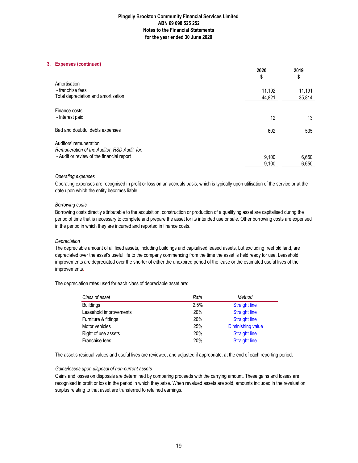## **3. Expenses (continued)**

|                                              | 2020<br>\$ | 2019<br>\$ |
|----------------------------------------------|------------|------------|
| Amortisation                                 |            |            |
| - franchise fees                             | 11,192     | 11,191     |
| Total depreciation and amortisation          | 44,821     | 35,814     |
| Finance costs                                |            |            |
| - Interest paid                              | 12         | 13         |
| Bad and doubtful debts expenses              | 602        | 535        |
| Auditors' remuneration                       |            |            |
| Remuneration of the Auditor, RSD Audit, for: |            |            |
| - Audit or review of the financial report    | 9,100      | 6,650      |
|                                              | 9.100      | 6,650      |

### *Operating expenses*

Operating expenses are recognised in profit or loss on an accruals basis, which is typically upon utilisation of the service or at the date upon which the entity becomes liable.

### *Borrowing costs*

Borrowing costs directly attributable to the acquisition, construction or production of a qualifying asset are capitalised during the period of time that is necessary to complete and prepare the asset for its intended use or sale. Other borrowing costs are expensed in the period in which they are incurred and reported in finance costs.

## *Depreciation*

The depreciable amount of all fixed assets, including buildings and capitalised leased assets, but excluding freehold land, are depreciated over the asset's useful life to the company commencing from the time the asset is held ready for use. Leasehold improvements are depreciated over the shorter of either the unexpired period of the lease or the estimated useful lives of the improvements.

The depreciation rates used for each class of depreciable asset are:

| Class of asset         | Rate | Method               |
|------------------------|------|----------------------|
| <b>Buildings</b>       | 2.5% | <b>Straight line</b> |
| Leasehold improvements | 20%  | <b>Straight line</b> |
| Furniture & fittings   | 20%  | <b>Straight line</b> |
| Motor vehicles         | 25%  | Diminishing value    |
| Right of use assets    | 20%  | <b>Straight line</b> |
| Franchise fees         | 20%  | <b>Straight line</b> |

The asset's residual values and useful lives are reviewed, and adjusted if appropriate, at the end of each reporting period.

### *Gains/losses upon disposal of non-current assets*

Gains and losses on disposals are determined by comparing proceeds with the carrying amount. These gains and losses are recognised in profit or loss in the period in which they arise. When revalued assets are sold, amounts included in the revaluation surplus relating to that asset are transferred to retained earnings.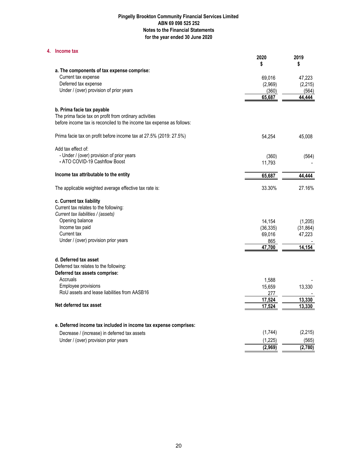### **4. Income tax**

|                                                                                      | 2020            | 2019             |
|--------------------------------------------------------------------------------------|-----------------|------------------|
|                                                                                      | \$              | \$               |
| a. The components of tax expense comprise:                                           |                 |                  |
| Current tax expense<br>Deferred tax expense                                          | 69,016          | 47,223           |
| Under / (over) provision of prior years                                              | (2,969)         | (2, 215)         |
|                                                                                      | (360)<br>65,687 | (564)<br>44.444  |
|                                                                                      |                 |                  |
| b. Prima facie tax payable                                                           |                 |                  |
| The prima facie tax on profit from ordinary activities                               |                 |                  |
| before income tax is reconciled to the income tax expense as follows:                |                 |                  |
| Prima facie tax on profit before income tax at 27.5% (2019: 27.5%)                   | 54,254          | 45,008           |
| Add tax effect of:                                                                   |                 |                  |
| - Under / (over) provision of prior years                                            | (360)           | (564)            |
| - ATO COVID-19 Cashflow Boost                                                        | 11,793          |                  |
| Income tax attributable to the entity                                                | 65,687          | 44,444           |
|                                                                                      |                 |                  |
| The applicable weighted average effective tax rate is:                               | 33.30%          | 27.16%           |
| c. Current tax liability                                                             |                 |                  |
| Current tax relates to the following:                                                |                 |                  |
| Current tax liabilities / (assets)                                                   |                 |                  |
| Opening balance                                                                      | 14,154          | (1,205)          |
| Income tax paid                                                                      | (36, 335)       | (31, 864)        |
| Current tax                                                                          | 69,016          | 47,223           |
| Under / (over) provision prior years                                                 | 865             |                  |
|                                                                                      | 47,700          | 14.154           |
| d. Deferred tax asset                                                                |                 |                  |
| Deferred tax relates to the following:                                               |                 |                  |
| Deferred tax assets comprise:                                                        |                 |                  |
| Accruals                                                                             | 1,588           |                  |
| Employee provisions                                                                  | 15,659          | 13,330           |
| RoU assets and lease liabilities from AASB16                                         | 277             |                  |
|                                                                                      | 17,524          | 13,330           |
| Net deferred tax asset                                                               | 17,524          | 13,330           |
|                                                                                      |                 |                  |
| e. Deferred income tax included in income tax expense comprises:                     | (1,744)         | (2, 215)         |
| Decrease / (increase) in deferred tax assets<br>Under / (over) provision prior years | (1, 225)        |                  |
|                                                                                      | (2,969)         | (565)<br>(2,780) |
|                                                                                      |                 |                  |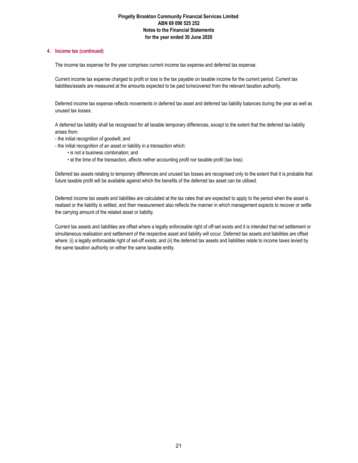## **4. Income tax (continued)**

The income tax expense for the year comprises current income tax expense and deferred tax expense.

Current income tax expense charged to profit or loss is the tax payable on taxable income for the current period. Current tax liabilities/assets are measured at the amounts expected to be paid to/recovered from the relevant taxation authority.

Deferred income tax expense reflects movements in deferred tax asset and deferred tax liability balances during the year as well as unused tax losses.

A deferred tax liability shall be recognised for all taxable temporary differences, except to the extent that the deferred tax liability arises from:

- the initial recognition of goodwill; and
- the initial recognition of an asset or liability in a transaction which:
	- is not a business combination; and
	- at the time of the transaction, affects nether accounting profit nor taxable profit (tax loss).

Deferred tax assets relating to temporary differences and unused tax losses are recognised only to the extent that it is probable that future taxable profit will be available against which the benefits of the deferred tax asset can be utilised.

Deferred income tax assets and liabilities are calculated at the tax rates that are expected to apply to the period when the asset is realised or the liability is settled, and their measurement also reflects the manner in which management expects to recover or settle the carrying amount of the related asset or liability.

Current tax assets and liabilities are offset where a legally enforceable right of off-set exists and it is intended that net settlement or simultaneous realisation and settlement of the respective asset and liability will occur. Deferred tax assets and liabilities are offset where: (i) a legally enforceable right of set-off exists; and (ii) the deferred tax assets and liabilities relate to income taxes levied by the same taxation authority on either the same taxable entity.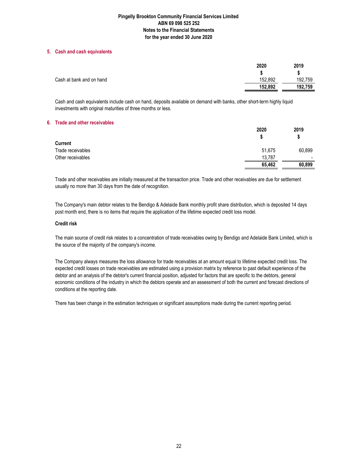## **5. Cash and cash equivalents**

|                          | 2020    | 2019    |
|--------------------------|---------|---------|
|                          |         |         |
| Cash at bank and on hand | 152,892 | 192,759 |
|                          | 152,892 | 192.759 |

Cash and cash equivalents include cash on hand, deposits available on demand with banks, other short-term highly liquid investments with original maturities of three months or less.

## **6. Trade and other receivables**

|                   | 2020   | 2019                     |  |
|-------------------|--------|--------------------------|--|
|                   |        | \$                       |  |
| Current           |        |                          |  |
| Trade receivables | 51,675 | 60,899                   |  |
| Other receivables | 13,787 | $\overline{\phantom{0}}$ |  |
|                   | 65,462 | 60,899                   |  |

Trade and other receivables are initially measured at the transaction price. Trade and other receivables are due for settlement usually no more than 30 days from the date of recognition.

The Company's main debtor relates to the Bendigo & Adelaide Bank monthly profit share distribution, which is deposited 14 days post month end, there is no items that require the application of the lifetime expected credit loss model.

### **Credit risk**

The main source of credit risk relates to a concentration of trade receivables owing by Bendigo and Adelaide Bank Limited, which is the source of the majority of the company's income.

The Company always measures the loss allowance for trade receivables at an amount equal to lifetime expected credit loss. The expected credit losses on trade receivables are estimated using a provision matrix by reference to past default experience of the debtor and an analysis of the debtor's current financial position, adjusted for factors that are specific to the debtors, general economic conditions of the industry in which the debtors operate and an assessment of both the current and forecast directions of conditions at the reporting date.

There has been change in the estimation techniques or significant assumptions made during the current reporting period.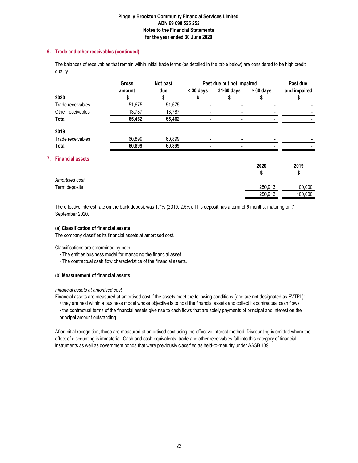# **6. Trade and other receivables (continued)**

The balances of receivables that remain within initial trade terms (as detailed in the table below) are considered to be high credit quality.

|    |                         | Not past<br><b>Gross</b> |        | Past due but not impaired | Past due   |            |              |
|----|-------------------------|--------------------------|--------|---------------------------|------------|------------|--------------|
|    |                         | amount                   | due    | $<$ 30 days               | 31-60 days | $>60$ days | and impaired |
|    | 2020                    |                          | S      | \$                        | 5          | S          | Φ            |
|    | Trade receivables       | 51,675                   | 51,675 |                           |            |            |              |
|    | Other receivables       | 13,787                   | 13,787 | $\overline{a}$            |            |            |              |
|    | <b>Total</b>            | 65,462                   | 65,462 |                           |            |            |              |
|    | 2019                    |                          |        |                           |            |            |              |
|    | Trade receivables       | 60,899                   | 60,899 |                           |            |            |              |
|    | <b>Total</b>            | 60,899                   | 60,899 |                           |            |            |              |
| 7. | <b>Financial assets</b> |                          |        |                           |            |            |              |
|    |                         |                          |        |                           |            | 2020       | 2019         |
|    |                         |                          |        |                           |            | \$         | \$           |
|    | Amortised cost          |                          |        |                           |            |            |              |
|    | Term deposits           |                          |        |                           |            | 250.913    | 100.000      |

250,913 100,000

The effective interest rate on the bank deposit was 1.7% (2019: 2.5%). This deposit has a term of 6 months, maturing on 7 September 2020.

## **(a) Classification of financial assets**

The company classifies its financial assets at amortised cost.

Classifications are determined by both:

- The entities business model for managing the financial asset
- The contractual cash flow characteristics of the financial assets.

# **(b) Measurement of financial assets**

### *Financial assets at amortised cost*

Financial assets are measured at amortised cost if the assets meet the following conditions (and are not designated as FVTPL):

• they are held within a business model whose objective is to hold the financial assets and collect its contractual cash flows • the contractual terms of the financial assets give rise to cash flows that are solely payments of principal and interest on the principal amount outstanding

After initial recognition, these are measured at amortised cost using the effective interest method. Discounting is omitted where the effect of discounting is immaterial. Cash and cash equivalents, trade and other receivables fall into this category of financial instruments as well as government bonds that were previously classified as held-to-maturity under AASB 139.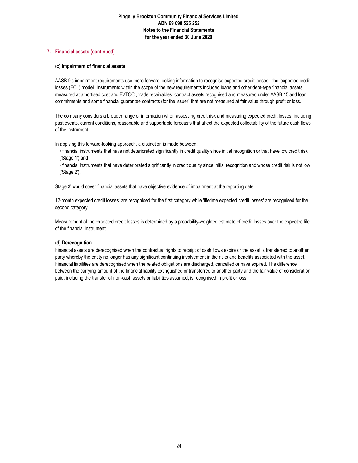## **7. Financial assets (continued)**

## **(c) Impairment of financial assets**

AASB 9's impairment requirements use more forward looking information to recognise expected credit losses - the 'expected credit losses (ECL) model'. Instruments within the scope of the new requirements included loans and other debt-type financial assets measured at amortised cost and FVTOCI, trade receivables, contract assets recognised and measured under AASB 15 and loan commitments and some financial guarantee contracts (for the issuer) that are not measured at fair value through profit or loss.

The company considers a broader range of information when assessing credit risk and measuring expected credit losses, including past events, current conditions, reasonable and supportable forecasts that affect the expected collectability of the future cash flows of the instrument.

In applying this forward-looking approach, a distinction is made between:

- financial instruments that have not deteriorated significantly in credit quality since initial recognition or that have low credit risk ('Stage 1') and
- financial instruments that have deteriorated significantly in credit quality since initial recognition and whose credit risk is not low ('Stage 2').

Stage 3' would cover financial assets that have objective evidence of impairment at the reporting date.

12-month expected credit losses' are recognised for the first category while 'lifetime expected credit losses' are recognised for the second category.

Measurement of the expected credit losses is determined by a probability-weighted estimate of credit losses over the expected life of the financial instrument.

# **(d) Derecognition**

Financial assets are derecognised when the contractual rights to receipt of cash flows expire or the asset is transferred to another party whereby the entity no longer has any significant continuing involvement in the risks and benefits associated with the asset. Financial liabilities are derecognised when the related obligations are discharged, cancelled or have expired. The difference between the carrying amount of the financial liability extinguished or transferred to another party and the fair value of consideration paid, including the transfer of non-cash assets or liabilities assumed, is recognised in profit or loss.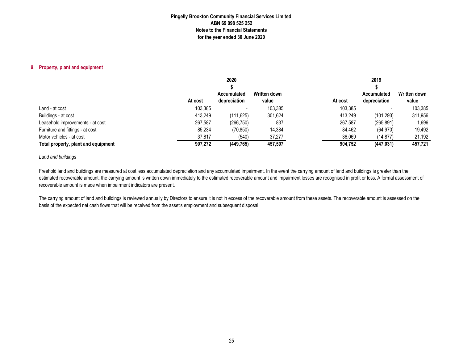#### **9. Property, plant and equipment**

|                                     | 2020    |              |              | 2019    |              |              |  |
|-------------------------------------|---------|--------------|--------------|---------|--------------|--------------|--|
|                                     |         |              |              |         |              |              |  |
|                                     |         | Accumulated  | Written down |         | Accumulated  | Written down |  |
|                                     | At cost | depreciation | value        | At cost | depreciation | value        |  |
| Land - at cost                      | 103.385 |              | 103,385      | 103,385 |              | 103.385      |  |
| Buildings - at cost                 | 413,249 | (111, 625)   | 301,624      | 413,249 | (101,293)    | 311,956      |  |
| Leasehold improvements - at cost    | 267,587 | (266, 750)   | 837          | 267,587 | (265, 891)   | 1,696        |  |
| Furniture and fittings - at cost    | 85,234  | (70, 850)    | 14,384       | 84,462  | (64, 970)    | 19,492       |  |
| Motor vehicles - at cost            | 37,817  | (540)        | 37,277       | 36,069  | (14, 877)    | 21,192       |  |
| Total property, plant and equipment | 907,272 | (449, 765)   | 457,507      | 904,752 | (447, 031)   | 457,721      |  |

#### *Land and buildings*

Freehold land and buildings are measured at cost less accumulated depreciation and any accumulated impairment. In the event the carrying amount of land and buildings is greater than the estimated recoverable amount, the carrying amount is written down immediately to the estimated recoverable amount and impairment losses are recognised in profit or loss. A formal assessment of recoverable amount is made when impairment indicators are present.

The carrying amount of land and buildings is reviewed annually by Directors to ensure it is not in excess of the recoverable amount from these assets. The recoverable amount is assessed on the basis of the expected net cash flows that will be received from the asset's employment and subsequent disposal.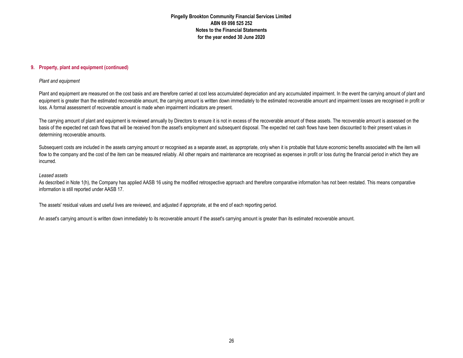#### **9. Property, plant and equipment (continued)**

#### *Plant and equipment*

Plant and equipment are measured on the cost basis and are therefore carried at cost less accumulated depreciation and any accumulated impairment. In the event the carrying amount of plant and equipment is greater than the estimated recoverable amount, the carrying amount is written down immediately to the estimated recoverable amount and impairment losses are recognised in profit or loss. A formal assessment of recoverable amount is made when impairment indicators are present.

The carrying amount of plant and equipment is reviewed annually by Directors to ensure it is not in excess of the recoverable amount of these assets. The recoverable amount is assessed on the basis of the expected net cash flows that will be received from the asset's employment and subsequent disposal. The expected net cash flows have been discounted to their present values in determining recoverable amounts.

Subsequent costs are included in the assets carrying amount or recognised as a separate asset, as appropriate, only when it is probable that future economic benefits associated with the item will flow to the company and the cost of the item can be measured reliably. All other repairs and maintenance are recognised as expenses in profit or loss during the financial period in which they are incurred.

#### *Leased assets*

As described in Note 1(h), the Company has applied AASB 16 using the modified retrospective approach and therefore comparative information has not been restated. This means comparative information is still reported under AASB 17.

The assets' residual values and useful lives are reviewed, and adjusted if appropriate, at the end of each reporting period.

An asset's carrying amount is written down immediately to its recoverable amount if the asset's carrying amount is greater than its estimated recoverable amount.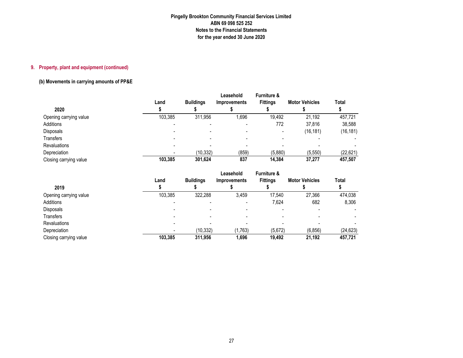# **9. Property, plant and equipment (continued)**

# **(b) Movements in carrying amounts of PP&E**

| 2020                   | Land    | <b>Buildings</b> | Leasehold<br>Improvements | <b>Furniture &amp;</b><br><b>Fittings</b> | <b>Motor Vehicles</b> | Total     |
|------------------------|---------|------------------|---------------------------|-------------------------------------------|-----------------------|-----------|
| Opening carrying value | 103.385 | 311.956          | 1,696                     | 19,492                                    | 21,192                | 457.721   |
| Additions              |         |                  |                           | 772                                       | 37.816                | 38,588    |
| Disposals              |         |                  |                           |                                           | (16, 181)             | (16, 181) |
| Transfers              |         |                  |                           |                                           |                       |           |
| <b>Revaluations</b>    |         |                  |                           |                                           |                       |           |
| Depreciation           |         | (10, 332)        | (859)                     | (5,880)                                   | (5, 550)              | (22,621)  |
| Closing carrying value | 103.385 | 301,624          | 837                       | 14,384                                    | 37.277                | 457,507   |

|                        |         |                  | Leasehold                | <b>Furniture &amp;</b> |                       |           |
|------------------------|---------|------------------|--------------------------|------------------------|-----------------------|-----------|
|                        | Land    | <b>Buildings</b> | <b>Improvements</b>      | <b>Fittings</b>        | <b>Motor Vehicles</b> | Total     |
| 2019                   |         |                  |                          |                        |                       |           |
| Opening carrying value | 103.385 | 322.288          | 3,459                    | 17.540                 | 27.366                | 474.038   |
| Additions              |         |                  | $\overline{\phantom{0}}$ | 7,624                  | 682                   | 8,306     |
| <b>Disposals</b>       |         |                  |                          |                        |                       |           |
| Transfers              |         |                  |                          |                        |                       |           |
| <b>Revaluations</b>    |         |                  |                          |                        |                       |           |
| Depreciation           |         | (10, 332)        | (1,763)                  | (5,672)                | (6, 856)              | (24, 623) |
| Closing carrying value | 103,385 | 311,956          | 1,696                    | 19,492                 | 21,192                | 457,721   |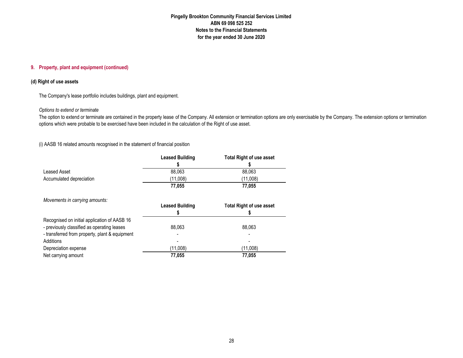## **9. Property, plant and equipment (continued)**

## **(d) Right of use assets**

The Company's lease portfolio includes buildings, plant and equipment.

#### *Options to extend or terminate*

 The option to extend or terminate are contained in the property lease of the Company. All extension or termination options are only exercisable by the Company. The extension options or termination options which were probable to be exercised have been included in the calculation of the Right of use asset.

(i) AASB 16 related amounts recognised in the statement of financial position

|                                                | <b>Leased Building</b> | <b>Total Right of use asset</b> |
|------------------------------------------------|------------------------|---------------------------------|
|                                                |                        |                                 |
| Leased Asset                                   | 88.063                 | 88.063                          |
| Accumulated depreciation                       | (11,008)               | (11,008)                        |
|                                                | 77,055                 | 77,055                          |
| Movements in carrying amounts:                 |                        |                                 |
|                                                | <b>Leased Building</b> | <b>Total Right of use asset</b> |
| Recognised on initial application of AASB 16   |                        |                                 |
| - previously classified as operating leases    | 88,063                 | 88,063                          |
| - transferred from property, plant & equipment |                        |                                 |
| Additions                                      |                        |                                 |
| Depreciation expense                           | (11,008)               | (11,008)                        |
| Net carrying amount                            | 77.055                 | 77,055                          |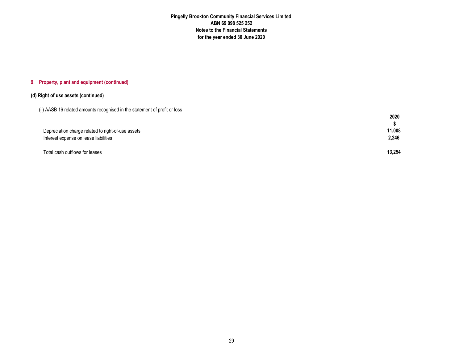#### **9. Property, plant and equipment (continued)**

## **(d) Right of use assets (continued)**

|  |  | (ii) AASB 16 related amounts recognised in the statement of profit or loss |  |  |  |
|--|--|----------------------------------------------------------------------------|--|--|--|
|  |  |                                                                            |  |  |  |

|                                                    | 2020   |
|----------------------------------------------------|--------|
|                                                    |        |
| Depreciation charge related to right-of-use assets | 11,008 |
| Interest expense on lease liabilities              | 2,246  |
|                                                    |        |
| Total cash outflows for leases                     | 13.254 |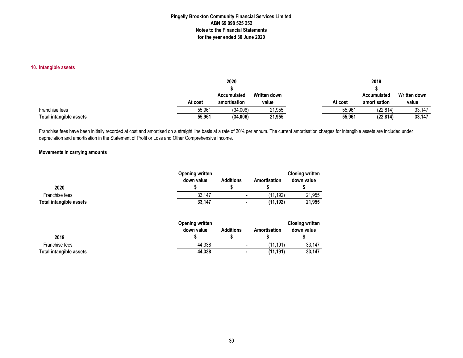## **10. Intangible assets**

|                         |         | 2020               |              |         | 2019         |                     |
|-------------------------|---------|--------------------|--------------|---------|--------------|---------------------|
|                         |         |                    |              |         |              |                     |
|                         |         | <b>Accumulated</b> | Written down |         | Accumulated  | <b>Written down</b> |
|                         | At cost | amortisation       | value        | At cost | amortisation | value               |
| Franchise fees          | 55.961  | (34,006)           | 21,955       | 55.961  | (22, 814)    | 33,147              |
| Total intangible assets | 55,961  | (34,006)           | 21,955       | 55,961  | (22, 814)    | 33,147              |

Franchise fees have been initially recorded at cost and amortised on a straight line basis at a rate of 20% per annum. The current amortisation charges for intangible assets are included under depreciation and amortisation in the Statement of Profit or Loss and Other Comprehensive Income.

## **Movements in carrying amounts**

| 2020                           | <b>Opening written</b><br>down value | <b>Additions</b> | Amortisation | <b>Closing written</b><br>down value |
|--------------------------------|--------------------------------------|------------------|--------------|--------------------------------------|
| Franchise fees                 | 33,147                               |                  | (11, 192)    | 21,955                               |
| <b>Total intangible assets</b> | 33,147                               | $\blacksquare$   | (11, 192)    | 21,955                               |
|                                | <b>Opening written</b><br>down value | <b>Additions</b> | Amortisation | <b>Closing written</b><br>down value |
| 2019                           |                                      |                  |              |                                      |
| Franchise fees                 | 44,338                               |                  | (11, 191)    | 33,147                               |
| Total intangible assets        | 44,338                               | ۰                | (11, 191)    | 33,147                               |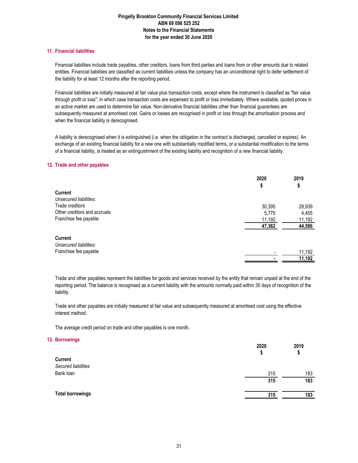### **11. Financial liabilities**

Financial liabilities include trade payables, other creditors, loans from third parties and loans from or other amounts due to related entities. Financial liabilities are classified as current liabilities unless the company has an unconditional right to defer settlement of the liability for at least 12 months after the reporting period.

Financial liabilities are initially measured at fair value plus transaction costs, except where the instrument is classified as "fair value through profit or loss", in which case transaction costs are expensed to profit or loss immediately. Where available, quoted prices in an active market are used to determine fair value. Non-derivative financial liabilities other than financial guarantees are subsequently measured at amortised cost. Gains or losses are recognised in profit or loss through the amortisation process and when the financial liability is derecognised.

A liability is derecognised when it is extinguished (i.e. when the obligation in the contract is discharged, cancelled or expires). An exchange of an existing financial liability for a new one with substantially modified terms, or a substantial modification to the terms of a financial liability, is treated as an extinguishment of the existing liability and recognition of a new financial liability.

#### **12. Trade and other payables**

|                              | 2020   | 2019   |
|------------------------------|--------|--------|
|                              | Φ      | \$     |
| Current                      |        |        |
| Unsecured liabilities:       |        |        |
| Trade creditors              | 30,395 | 28,939 |
| Other creditors and accruals | 5,775  | 4,455  |
| Franchise fee payable        | 11,192 | 11,192 |
|                              | 47,362 | 44,586 |
| Current                      |        |        |
| Unsecured liabilities:       |        |        |
| Franchise fee payable        |        | 11,192 |
|                              |        | 11,192 |

Trade and other payables represent the liabilities for goods and services received by the entity that remain unpaid at the end of the reporting period. The balance is recognised as a current liability with the amounts normally paid within 30 days of recognition of the liability.

Trade and other payables are initially measured at fair value and subsequently measured at amortised cost using the effective interest method.

The average credit period on trade and other payables is one month.

#### **13. Borrowings**

|                         | 2020<br>\$ | 2019<br>\$ |
|-------------------------|------------|------------|
| Current                 |            |            |
| Secured liabilities     |            |            |
| Bank loan               | 315        | 183        |
|                         | 315        | 183        |
| <b>Total borrowings</b> | 315        | 183        |
|                         |            |            |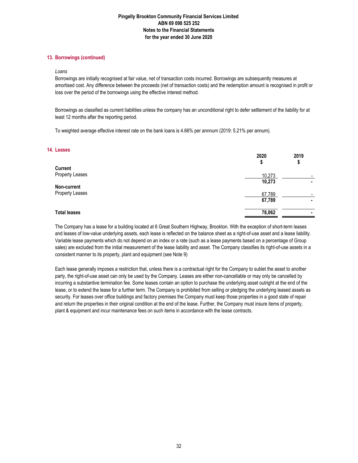## **13. Borrowings (continued)**

#### *Loans*

Borrowings are initially recognised at fair value, net of transaction costs incurred. Borrowings are subsequently measures at amortised cost. Any difference between the proceeds (net of transaction costs) and the redemption amount is recognised in profit or loss over the period of the borrowings using the effective interest method.

Borrowings as classified as current liabilities unless the company has an unconditional right to defer settlement of the liability for at least 12 months after the reporting period.

To weighted average effective interest rate on the bank loans is 4.66% per annnum (2019: 5.21% per annum).

#### **14. Leases**

|                     | 2020<br>φ | 2019<br>\$               |
|---------------------|-----------|--------------------------|
| Current             |           |                          |
| Property Leases     | 10,273    | $\overline{\phantom{0}}$ |
|                     | 10,273    |                          |
| Non-current         |           |                          |
| Property Leases     | 67,789    |                          |
|                     | 67,789    | ٠                        |
| <b>Total leases</b> | 78,062    | ٠                        |
|                     |           |                          |

The Company has a lease for a building located at 6 Great Southern Highway, Brookton. With the exception of short-term leases and leases of low-value underlying assets, each lease is reflected on the balance sheet as a right-of-use asset and a lease liability. Variable lease payments which do not depend on an index or a rate (such as a lease payments based on a percentage of Group sales) are excluded from the initial measurement of the lease liability and asset. The Company classifies its right-of-use assets in a consistent manner to its property, plant and equipment (see Note 9)

Each lease generally imposes a restriction that, unless there is a contractual right for the Company to sublet the asset to another party, the right-of-use asset can only be used by the Company. Leases are either non-cancellable or may only be cancelled by incurring a substantive termination fee. Some leases contain an option to purchase the underlying asset outright at the end of the lease, or to extend the lease for a further term. The Company is prohibited from selling or pledging the underlying leased assets as security. For leases over office buildings and factory premises the Company must keep those properties in a good state of repair and return the properties in their original condition at the end of the lease. Further, the Company must insure items of property, plant & equipment and incur maintenance fees on such items in accordance with the lease contracts.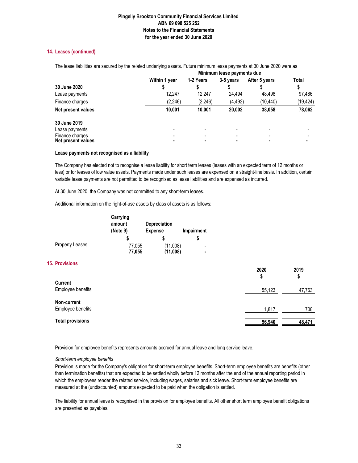## **14. Leases (continued)**

|                    |               | Minimum lease payments due |           |               |          |  |
|--------------------|---------------|----------------------------|-----------|---------------|----------|--|
|                    | Within 1 year | 1-2 Years                  | 3-5 years | After 5 years | Total    |  |
| 30 June 2020       |               |                            |           |               |          |  |
| Lease payments     | 12.247        | 12.247                     | 24.494    | 48.498        | 97,486   |  |
| Finance charges    | (2, 246)      | (2, 246)                   | (4, 492)  | (10.440)      | (19,424) |  |
| Net present values | 10,001        | 10.001                     | 20,002    | 38,058        | 78,062   |  |
| 30 June 2019       |               |                            |           |               |          |  |
| Lease payments     |               |                            |           |               |          |  |
| Finance charges    |               |                            |           |               |          |  |
| Net present values |               |                            |           |               |          |  |

The lease liabilities are secured by the related underlying assets. Future minimum lease payments at 30 June 2020 were as

## **Lease payments not recognised as a liability**

The Company has elected not to recognise a lease liability for short term leases (leases with an expected term of 12 months or less) or for leases of low value assets. Payments made under such leases are expensed on a straight-line basis. In addition, certain variable lease payments are not permitted to be recognised as lease liabilities and are expensed as incurred.

At 30 June 2020, the Company was not committed to any short-term leases.

Additional information on the right-of-use assets by class of assets is as follows:

|                        | Carrying<br>amount | <b>Depreciation</b> |                          |
|------------------------|--------------------|---------------------|--------------------------|
|                        | (Note 9)           | <b>Expense</b>      | Impairment               |
|                        |                    |                     |                          |
| <b>Property Leases</b> | 77,055             | (11,008)            | $\overline{\phantom{0}}$ |
|                        | 77,055             | (11,008)            | ٠                        |

## **15. Provisions**

|                                     | 2020<br>\$ | 2019<br>\$ |
|-------------------------------------|------------|------------|
| <b>Current</b><br>Employee benefits | 55,123     | 47,763     |
| Non-current<br>Employee benefits    | 1,817      | 708        |
| <b>Total provisions</b>             | 56,940     | 48,471     |

Provision for employee benefits represents amounts accrued for annual leave and long service leave.

### *Short-term employee benefits*

Provision is made for the Company's obligation for short-term employee benefits. Short-term employee benefits are benefits (other than termination benefits) that are expected to be settled wholly before 12 months after the end of the annual reporting period in which the employees render the related service, including wages, salaries and sick leave. Short-term employee benefits are measured at the (undiscounted) amounts expected to be paid when the obligation is settled.

The liability for annual leave is recognised in the provision for employee benefits. All other short term employee benefit obligations are presented as payables.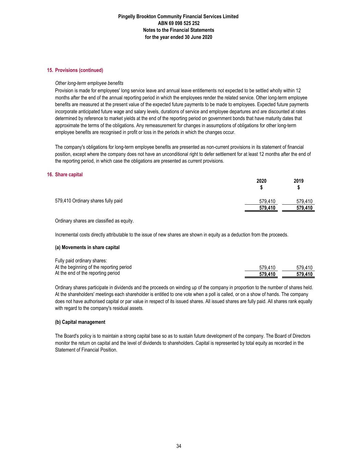#### **15. Provisions (continued)**

#### *Other long-term employee benefits*

Provision is made for employees' long service leave and annual leave entitlements not expected to be settled wholly within 12 months after the end of the annual reporting period in which the employees render the related service. Other long-term employee benefits are measured at the present value of the expected future payments to be made to employees. Expected future payments incorporate anticipated future wage and salary levels, durations of service and employee departures and are discounted at rates determined by reference to market yields at the end of the reporting period on government bonds that have maturity dates that approximate the terms of the obligations. Any remeasurement for changes in assumptions of obligations for other long-term employee benefits are recognised in profit or loss in the periods in which the changes occur.

The company's obligations for long-term employee benefits are presented as non-current provisions in its statement of financial position, except where the company does not have an unconditional right to defer settlement for at least 12 months after the end of the reporting period, in which case the obligations are presented as current provisions.

#### **16. Share capital**

|                                    | 2020    | 2019<br>\$ |
|------------------------------------|---------|------------|
| 579,410 Ordinary shares fully paid | 579.410 | 579,410    |
|                                    | 579,410 | 579,410    |
|                                    |         |            |

Ordinary shares are classified as equity.

Incremental costs directly attributable to the issue of new shares are shown in equity as a deduction from the proceeds.

#### **(a) Movements in share capital**

| Fully paid ordinary shares:              |         |         |
|------------------------------------------|---------|---------|
| At the beginning of the reporting period | 579.410 | 579.410 |
| At the end of the reporting period       | 579.410 | 579.410 |

Ordinary shares participate in dividends and the proceeds on winding up of the company in proportion to the number of shares held. At the shareholders' meetings each shareholder is entitled to one vote when a poll is called, or on a show of hands. The company does not have authorised capital or par value in respect of its issued shares. All issued shares are fully paid. All shares rank equally with regard to the company's residual assets.

#### **(b) Capital management**

The Board's policy is to maintain a strong capital base so as to sustain future development of the company. The Board of Directors monitor the return on capital and the level of dividends to shareholders. Capital is represented by total equity as recorded in the Statement of Financial Position.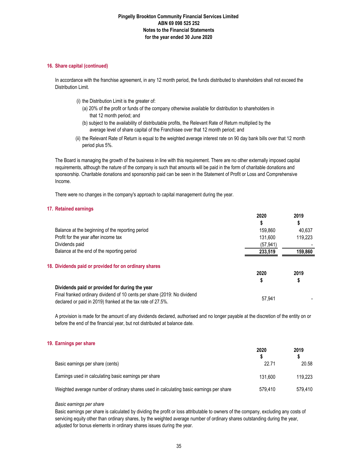### **16. Share capital (continued)**

In accordance with the franchise agreement, in any 12 month period, the funds distributed to shareholders shall not exceed the Distribution Limit.

- (i) the Distribution Limit is the greater of:
	- (a) 20% of the profit or funds of the company otherwise available for distribution to shareholders in that 12 month period; and
	- (b) subject to the availability of distributable profits, the Relevant Rate of Return multiplied by the average level of share capital of the Franchisee over that 12 month period; and
- (ii) the Relevant Rate of Return is equal to the weighted average interest rate on 90 day bank bills over that 12 month period plus 5%.

The Board is managing the growth of the business in line with this requirement. There are no other externally imposed capital requirements, although the nature of the company is such that amounts will be paid in the form of charitable donations and sponsorship. Charitable donations and sponsorship paid can be seen in the Statement of Profit or Loss and Comprehensive Income.

There were no changes in the company's approach to capital management during the year.

## **17. Retained earnings**

|                                                                                                                                         | 2020      | 2019    |
|-----------------------------------------------------------------------------------------------------------------------------------------|-----------|---------|
|                                                                                                                                         |           | \$      |
| Balance at the beginning of the reporting period                                                                                        | 159.860   | 40.637  |
| Profit for the year after income tax                                                                                                    | 131.600   | 119.223 |
| Dividends paid                                                                                                                          | (57, 941) |         |
| Balance at the end of the reporting period                                                                                              | 233,519   | 159,860 |
| 18. Dividends paid or provided for on ordinary shares                                                                                   |           |         |
|                                                                                                                                         | 2020      | 2019    |
|                                                                                                                                         |           | \$      |
| Dividends paid or provided for during the year                                                                                          |           |         |
| Final franked ordinary dividend of 10 cents per share (2019: No dividend<br>declared or paid in 2019) franked at the tax rate of 27.5%. | 57.941    |         |

A provision is made for the amount of any dividends declared, authorised and no longer payable at the discretion of the entity on or before the end of the financial year, but not distributed at balance date.

### **19. Earnings per share**

|                                                                                         | 2020    | 2019    |
|-----------------------------------------------------------------------------------------|---------|---------|
| Basic earnings per share (cents)                                                        | 22.71   | 20.58   |
| Earnings used in calculating basic earnings per share                                   | 131.600 | 119.223 |
| Weighted average number of ordinary shares used in calculating basic earnings per share | 579.410 | 579.410 |

#### *Basic earnings per share*

Basic earnings per share is calculated by dividing the profit or loss attributable to owners of the company, excluding any costs of servicing equity other than ordinary shares, by the weighted average number of ordinary shares outstanding during the year, adjusted for bonus elements in ordinary shares issues during the year.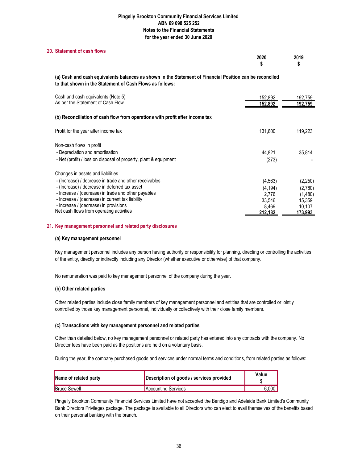## **20. Statement of cash flows**

| 2020    | 2019 |
|---------|------|
| æ<br>-0 |      |

**(a) Cash and cash equivalents balances as shown in the Statement of Financial Position can be reconciled to that shown in the Statement of Cash Flows as follows:**

| Cash and cash equivalents (Note 5)<br>As per the Statement of Cash Flow      | 152,892<br>152,892 | 192,759<br>192,759 |
|------------------------------------------------------------------------------|--------------------|--------------------|
| (b) Reconciliation of cash flow from operations with profit after income tax |                    |                    |
| Profit for the year after income tax                                         | 131,600            | 119,223            |
| Non-cash flows in profit                                                     |                    |                    |
| - Depreciation and amortisation                                              | 44.821             | 35.814             |
| - Net (profit) / loss on disposal of property, plant & equipment             | (273)              |                    |
| Changes in assets and liabilities                                            |                    |                    |
| - (Increase) / decrease in trade and other receivables                       | (4, 563)           | (2,250)            |
| - (Increase) / decrease in deferred tax asset                                | (4.194)            | (2,780)            |
| - Increase / (decrease) in trade and other payables                          | 2.776              | (1,480)            |
| - Increase / (decrease) in current tax liability                             | 33.546             | 15.359             |
| - Increase / (decrease) in provisions                                        | 8.469              | 10,107             |
| Net cash flows from operating activities                                     | 212.182            | 173.993            |

### **21. Key management personnel and related party disclosures**

### **(a) Key management personnel**

Key management personnel includes any person having authority or responsibility for planning, directing or controlling the activities of the entity, directly or indirectly including any Director (whether executive or otherwise) of that company.

No remuneration was paid to key management personnel of the company during the year.

### **(b) Other related parties**

Other related parties include close family members of key management personnel and entities that are controlled or jointly controlled by those key management personnel, individually or collectively with their close family members.

### **(c) Transactions with key management personnel and related parties**

Other than detailed below, no key management personnel or related party has entered into any contracts with the company. No Director fees have been paid as the positions are held on a voluntary basis.

During the year, the company purchased goods and services under normal terms and conditions, from related parties as follows:

| Name of related party | Description of goods / services provided | Value |
|-----------------------|------------------------------------------|-------|
| <b>Bruce Sewell</b>   | Accounting Services                      | 6.000 |

Pingelly Brookton Community Financial Services Limited have not accepted the Bendigo and Adelaide Bank Limited's Community Bank Directors Privileges package. The package is available to all Directors who can elect to avail themselves of the benefits based on their personal banking with the branch.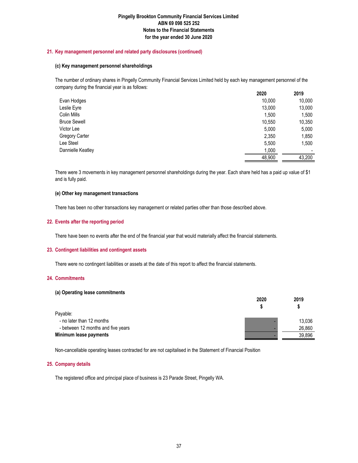## **21. Key management personnel and related party disclosures (continued)**

### **(c) Key management personnel shareholdings**

The number of ordinary shares in Pingelly Community Financial Services Limited held by each key management personnel of the company during the financial year is as follows:

|                     | 2020   | 2019   |
|---------------------|--------|--------|
| Evan Hodges         | 10,000 | 10,000 |
| Leslie Eyre         | 13,000 | 13,000 |
| Colin Mills         | 1,500  | 1,500  |
| <b>Bruce Sewell</b> | 10,550 | 10,350 |
| Victor Lee          | 5,000  | 5,000  |
| Gregory Carter      | 2,350  | 1,850  |
| Lee Steel           | 5,500  | 1,500  |
| Dannielle Keatley   | 1,000  |        |
|                     | 48,900 | 43,200 |

There were 3 movements in key management personnel shareholdings during the year. Each share held has a paid up value of \$1 and is fully paid.

#### **(e) Other key management transactions**

There has been no other transactions key management or related parties other than those described above.

### **22. Events after the reporting period**

There have been no events after the end of the financial year that would materially affect the financial statements.

#### **23. Contingent liabilities and contingent assets**

There were no contingent liabilities or assets at the date of this report to affect the financial statements.

### **24. Commitments**

#### **(a) Operating lease commitments**

|                                    | 2020 | 2019   |
|------------------------------------|------|--------|
|                                    |      |        |
| Payable:                           |      |        |
| - no later than 12 months          |      | 13.036 |
| - between 12 months and five years |      | 26.860 |
| Minimum lease payments             |      | 39.896 |

Non-cancellable operating leases contracted for are not capitalised in the Statement of Financial Position

#### **25. Company details**

The registered office and principal place of business is 23 Parade Street, Pingelly WA.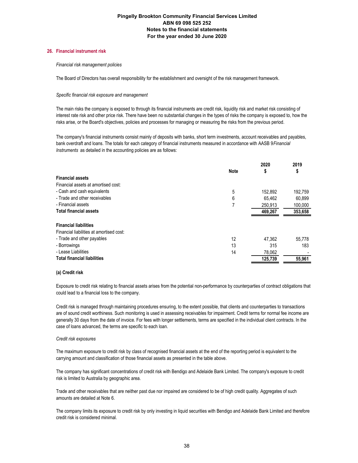#### **26. Financial instrument risk**

#### *Financial risk management policies*

The Board of Directors has overall responsibility for the establishment and oversight of the risk management framework.

#### *Specific financial risk exposure and management*

The main risks the company is exposed to through its financial instruments are credit risk, liquidity risk and market risk consisting of interest rate risk and other price risk. There have been no substantial changes in the types of risks the company is exposed to, how the risks arise, or the Board's objectives, policies and processes for managing or measuring the risks from the previous period.

The company's financial instruments consist mainly of deposits with banks, short term investments, account receivables and payables, bank overdraft and loans. The totals for each category of financial instruments measured in accordance with AASB 9 *Financial Instruments* as detailed in the accounting policies are as follows:

|                                          |             | 2020    | 2019    |
|------------------------------------------|-------------|---------|---------|
|                                          | <b>Note</b> | \$      | \$      |
| <b>Financial assets</b>                  |             |         |         |
| Financial assets at amortised cost:      |             |         |         |
| - Cash and cash equivalents              | 5           | 152.892 | 192,759 |
| - Trade and other receivables            | 6           | 65.462  | 60.899  |
| - Financial assets                       | 7           | 250,913 | 100,000 |
| <b>Total financial assets</b>            |             | 469,267 | 353,658 |
|                                          |             |         |         |
| <b>Financial liabilities</b>             |             |         |         |
| Financial liabilities at amortised cost: |             |         |         |
| - Trade and other payables               | 12          | 47,362  | 55,778  |
| - Borrowings                             | 13          | 315     | 183     |
| - Lease Liabilities                      | 14          | 78,062  |         |
| <b>Total financial liabilities</b>       |             | 125,739 | 55,961  |
|                                          |             |         |         |

#### **(a) Credit risk**

Exposure to credit risk relating to financial assets arises from the potential non-performance by counterparties of contract obligations that could lead to a financial loss to the company.

Credit risk is managed through maintaining procedures ensuring, to the extent possible, that clients and counterparties to transactions are of sound credit worthiness. Such monitoring is used in assessing receivables for impairment. Credit terms for normal fee income are generally 30 days from the date of invoice. For fees with longer settlements, terms are specified in the individual client contracts. In the case of loans advanced, the terms are specific to each loan.

#### *Credit risk exposures*

The maximum exposure to credit risk by class of recognised financial assets at the end of the reporting period is equivalent to the carrying amount and classification of those financial assets as presented in the table above.

The company has significant concentrations of credit risk with Bendigo and Adelaide Bank Limited. The company's exposure to credit risk is limited to Australia by geographic area.

Trade and other receivables that are neither past due nor impaired are considered to be of high credit quality. Aggregates of such amounts are detailed at Note 6.

The company limits its exposure to credit risk by only investing in liquid securities with Bendigo and Adelaide Bank Limited and therefore credit risk is considered minimal.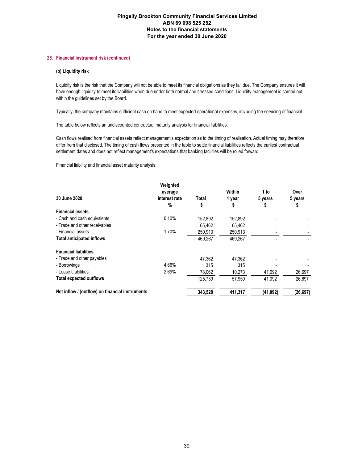### **26. Financial instrument risk (continued)**

#### **(b) Liquidity risk**

Liquidity risk is the risk that the Company will not be able to meet its financial obligations as they fall due. The Company ensures it will have enough liquidity to meet its liabilities when due under both normal and stressed conditions. Liquidity management is carried out within the guidelines set by the Board.

Typically, the company maintains sufficient cash on hand to meet expected operational expenses, including the servicing of financial

The table below reflects an undiscounted contractual maturity analysis for financial liabilities.

Cash flows realised from financial assets reflect management's expectation as to the timing of realisation. Actual timing may therefore differ from that disclosed. The timing of cash flows presented in the table to settle financial liabilities reflects the earliest contractual settlement dates and does not reflect management's expectations that banking facilities will be rolled forward.

Financial liability and financial asset maturity analysis:

|                                                 | Weighted<br>average |         | Within  | 1 to     | Over      |
|-------------------------------------------------|---------------------|---------|---------|----------|-----------|
| 30 June 2020                                    | interest rate       | Total   | 1 year  | 5 years  | 5 years   |
|                                                 | $\%$                | \$      | \$      | ¢        | \$        |
| <b>Financial assets</b>                         |                     |         |         |          |           |
| - Cash and cash equivalents                     | 0.10%               | 152.892 | 152,892 |          |           |
| - Trade and other receivables                   |                     | 65.462  | 65.462  |          |           |
| - Financial assets                              | 1.70%               | 250,913 | 250,913 |          |           |
| <b>Total anticipated inflows</b>                |                     | 469.267 | 469.267 |          |           |
| <b>Financial liabilities</b>                    |                     |         |         |          |           |
| - Trade and other payables                      |                     | 47,362  | 47,362  |          |           |
| - Borrowings                                    | 4.66%               | 315     | 315     |          |           |
| - Lease Liabilities                             | 2.69%               | 78,062  | 10,273  | 41,092   | 26,697    |
| <b>Total expected outflows</b>                  |                     | 125,739 | 57.950  | 41.092   | 26.697    |
| Net inflow / (outflow) on financial instruments |                     | 343.528 | 411,317 | (41,092) | (26, 697) |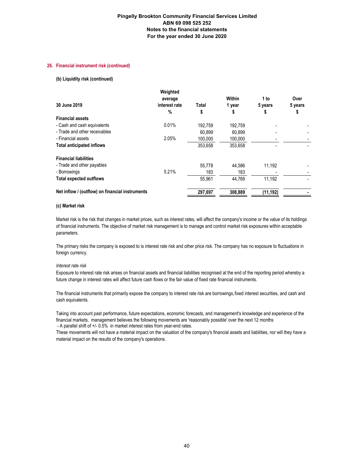#### **26. Financial instrument risk (continued)**

#### **(b) Liquidity risk (continued)**

|                                                 | Weighted<br>average |         | Within  | 1 to     | Over    |
|-------------------------------------------------|---------------------|---------|---------|----------|---------|
| 30 June 2019                                    | interest rate       | Total   | 1 year  | 5 years  | 5 years |
|                                                 | $\%$                | \$      | \$      | Φ        | \$      |
| <b>Financial assets</b>                         |                     |         |         |          |         |
| - Cash and cash equivalents                     | 0.01%               | 192.759 | 192.759 |          |         |
| - Trade and other receivables                   |                     | 60.899  | 60.899  |          |         |
| - Financial assets                              | 2.05%               | 100,000 | 100,000 |          |         |
| <b>Total anticipated inflows</b>                |                     | 353,658 | 353,658 |          |         |
| <b>Financial liabilities</b>                    |                     |         |         |          |         |
| - Trade and other payables                      |                     | 55.778  | 44.586  | 11,192   |         |
| - Borrowings                                    | 5.21%               | 183     | 183     |          |         |
| <b>Total expected outflows</b>                  |                     | 55.961  | 44.769  | 11.192   |         |
| Net inflow / (outflow) on financial instruments |                     | 297,697 | 308,889 | (11,192) |         |

#### **(c) Market risk**

Market risk is the risk that changes in market prices, such as interest rates, will affect the company's income or the value of its holdings of financial instruments. The objective of market risk management is to manage and control market risk exposures within acceptable parameters.

The primary risks the company is exposed to is interest rate risk and other price risk. The company has no exposure to fluctuations in foreign currency.

#### *Interest rate risk*

Exposure to interest rate risk arises on financial assets and financial liabilities recognised at the end of the reporting period whereby a future change in interest rates will affect future cash flows or the fair value of fixed rate financial instruments.

The financial instruments that primarily expose the company to interest rate risk are borrowings,fixed interest securities, and cash and cash equivalents.

 - A parallel shift of +/- 0.5% in market interest rates from year-end rates. Taking into account past performance, future expectations, economic forecasts, and management's knowledge and experience of the financial markets, management believes the following movements are 'reasonably possible' over the next 12 months:

These movements will not have a material impact on the valuation of the company's financial assets and liabilities, nor will they have a material impact on the results of the company's operations.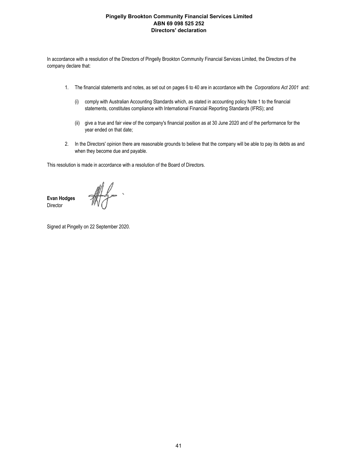In accordance with a resolution of the Directors of Pingelly Brookton Community Financial Services Limited, the Directors of the company declare that:

- 1. The financial statements and notes, as set out on pages 6 to 40 are in accordance with the *Corporations Act 2001* and:
	- (i) comply with Australian Accounting Standards which, as stated in accounting policy Note 1 to the financial statements, constitutes compliance with International Financial Reporting Standards (IFRS); and
	- (ii) give a true and fair view of the company's financial position as at 30 June 2020 and of the performance for the year ended on that date;
- 2. In the Directors' opinion there are reasonable grounds to believe that the company will be able to pay its debts as and when they become due and payable.

This resolution is made in accordance with a resolution of the Board of Directors.

**Evan Hodges Director** 

Signed at Pingelly on 22 September 2020.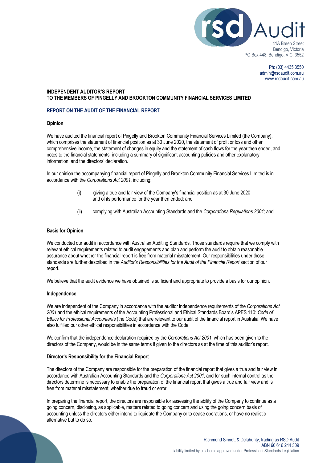

Ph: (03) 4435 3550 admin@rsdaudit.com.au www.rsdaudit.com.au

## **INDEPENDENT AUDITOR'S REPORT TO THE MEMBERS OF PINGELLY AND BROOKTON COMMUNITY FINANCIAL SERVICES LIMITED**

# **REPORT ON THE AUDIT OF THE FINANCIAL REPORT**

### **Opinion**

We have audited the financial report of Pingelly and Brookton Community Financial Services Limited (the Company), which comprises the statement of financial position as at 30 June 2020, the statement of profit or loss and other comprehensive income, the statement of changes in equity and the statement of cash flows for the year then ended, and notes to the financial statements, including a summary of significant accounting policies and other explanatory information, and the directors' declaration.

In our opinion the accompanying financial report of Pingelly and Brookton Community Financial Services Limited is in accordance with the *Corporations Act 2001*, including:

- (i) giving a true and fair view of the Company's financial position as at 30 June 2020 and of its performance for the year then ended; and
- (ii) complying with Australian Accounting Standards and the *Corporations Regulations 2001;* and

## **Basis for Opinion**

We conducted our audit in accordance with Australian Auditing Standards. Those standards require that we comply with relevant ethical requirements related to audit engagements and plan and perform the audit to obtain reasonable assurance about whether the financial report is free from material misstatement. Our responsibilities under those standards are further described in the *Auditor's Responsibilities for the Audit of the Financial Report* section of our report.

We believe that the audit evidence we have obtained is sufficient and appropriate to provide a basis for our opinion.

### **Independence**

We are independent of the Company in accordance with the auditor independence requirements of the *Corporations Act 2001* and the ethical requirements of the Accounting Professional and Ethical Standards Board's APES 110: *Code of Ethics for Professional Accountants* (the Code) that are relevant to our audit of the financial report in Australia. We have also fulfilled our other ethical responsibilities in accordance with the Code.

We confirm that the independence declaration required by the *Corporations Act 2001*, which has been given to the directors of the Company, would be in the same terms if given to the directors as at the time of this auditor's report.

### **Director's Responsibility for the Financial Report**

The directors of the Company are responsible for the preparation of the financial report that gives a true and fair view in accordance with Australian Accounting Standards and the *Corporations Act 2001,* and for such internal control as the directors determine is necessary to enable the preparation of the financial report that gives a true and fair view and is free from material misstatement, whether due to fraud or error.

In preparing the financial report, the directors are responsible for assessing the ability of the Company to continue as a going concern, disclosing, as applicable, matters related to going concern and using the going concern basis of accounting unless the directors either intend to liquidate the Company or to cease operations, or have no realistic alternative but to do so.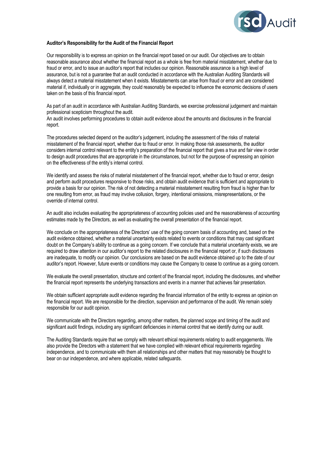

## **Auditor's Responsibility for the Audit of the Financial Report**

Our responsibility is to express an opinion on the financial report based on our audit. Our objectives are to obtain reasonable assurance about whether the financial report as a whole is free from material misstatement, whether due to fraud or error, and to issue an auditor's report that includes our opinion. Reasonable assurance is a high level of assurance, but is not a guarantee that an audit conducted in accordance with the Australian Auditing Standards will always detect a material misstatement when it exists. Misstatements can arise from fraud or error and are considered material if, individually or in aggregate, they could reasonably be expected to influence the economic decisions of users taken on the basis of this financial report.

As part of an audit in accordance with Australian Auditing Standards, we exercise professional judgement and maintain professional scepticism throughout the audit.

An audit involves performing procedures to obtain audit evidence about the amounts and disclosures in the financial report.

The procedures selected depend on the auditor's judgement, including the assessment of the risks of material misstatement of the financial report, whether due to fraud or error. In making those risk assessments, the auditor considers internal control relevant to the entity's preparation of the financial report that gives a true and fair view in order to design audit procedures that are appropriate in the circumstances, but not for the purpose of expressing an opinion on the effectiveness of the entity's internal control.

We identify and assess the risks of material misstatement of the financial report, whether due to fraud or error, design and perform audit procedures responsive to those risks, and obtain audit evidence that is sufficient and appropriate to provide a basis for our opinion. The risk of not detecting a material misstatement resulting from fraud is higher than for one resulting from error, as fraud may involve collusion, forgery, intentional omissions, misrepresentations, or the override of internal control.

An audit also includes evaluating the appropriateness of accounting policies used and the reasonableness of accounting estimates made by the Directors, as well as evaluating the overall presentation of the financial report.

We conclude on the appropriateness of the Directors' use of the going concern basis of accounting and, based on the audit evidence obtained, whether a material uncertainty exists related to events or conditions that may cast significant doubt on the Company's ability to continue as a going concern. If we conclude that a material uncertainty exists, we are required to draw attention in our auditor's report to the related disclosures in the financial report or, if such disclosures are inadequate, to modify our opinion. Our conclusions are based on the audit evidence obtained up to the date of our auditor's report. However, future events or conditions may cause the Company to cease to continue as a going concern.

We evaluate the overall presentation, structure and content of the financial report, including the disclosures, and whether the financial report represents the underlying transactions and events in a manner that achieves fair presentation.

We obtain sufficient appropriate audit evidence regarding the financial information of the entity to express an opinion on the financial report. We are responsible for the direction, supervision and performance of the audit. We remain solely responsible for our audit opinion.

We communicate with the Directors regarding, among other matters, the planned scope and timing of the audit and significant audit findings, including any significant deficiencies in internal control that we identify during our audit.

The Auditing Standards require that we comply with relevant ethical requirements relating to audit engagements. We also provide the Directors with a statement that we have complied with relevant ethical requirements regarding independence, and to communicate with them all relationships and other matters that may reasonably be thought to bear on our independence, and where applicable, related safeguards.